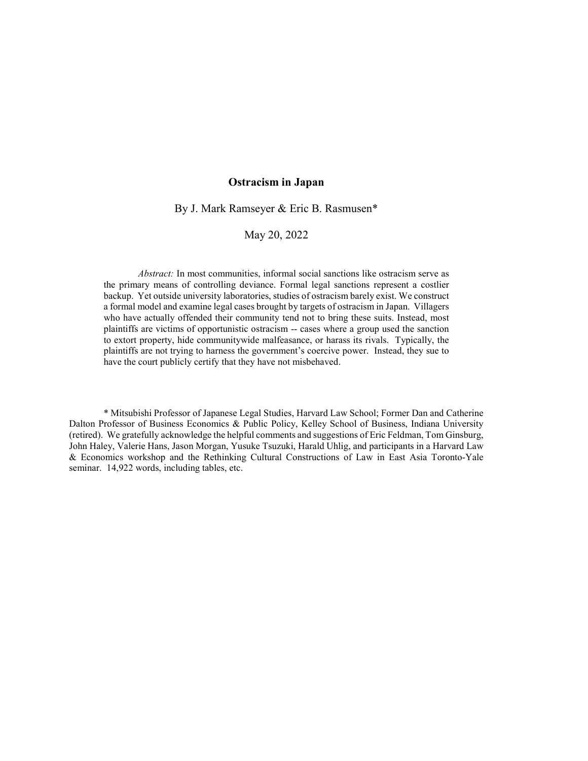### Ostracism in Japan

By J. Mark Ramseyer & Eric B. Rasmusen\*

May 20, 2022

Abstract: In most communities, informal social sanctions like ostracism serve as the primary means of controlling deviance. Formal legal sanctions represent a costlier backup. Yet outside university laboratories, studies of ostracism barely exist. We construct a formal model and examine legal cases brought by targets of ostracism in Japan. Villagers who have actually offended their community tend not to bring these suits. Instead, most plaintiffs are victims of opportunistic ostracism -- cases where a group used the sanction to extort property, hide communitywide malfeasance, or harass its rivals. Typically, the plaintiffs are not trying to harness the government's coercive power. Instead, they sue to have the court publicly certify that they have not misbehaved.

 \* Mitsubishi Professor of Japanese Legal Studies, Harvard Law School; Former Dan and Catherine Dalton Professor of Business Economics & Public Policy, Kelley School of Business, Indiana University (retired). We gratefully acknowledge the helpful comments and suggestions of Eric Feldman, Tom Ginsburg, John Haley, Valerie Hans, Jason Morgan, Yusuke Tsuzuki, Harald Uhlig, and participants in a Harvard Law & Economics workshop and the Rethinking Cultural Constructions of Law in East Asia Toronto-Yale seminar. 14,922 words, including tables, etc.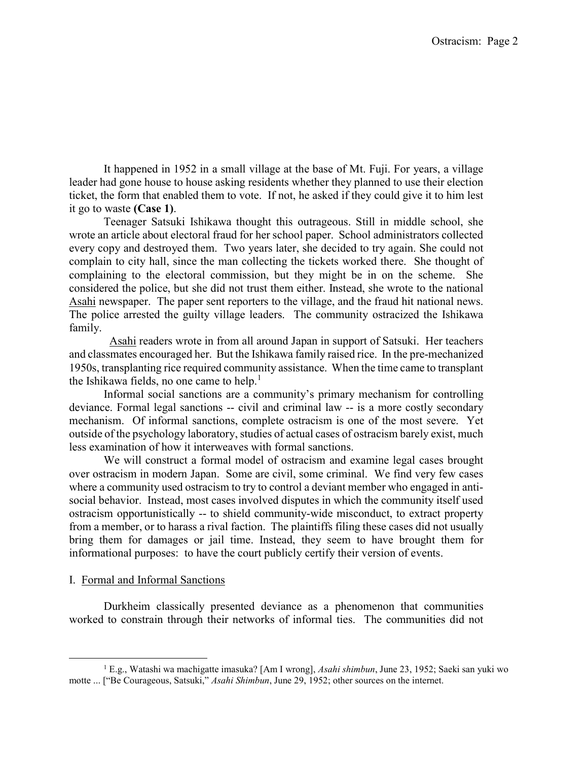It happened in 1952 in a small village at the base of Mt. Fuji. For years, a village leader had gone house to house asking residents whether they planned to use their election ticket, the form that enabled them to vote. If not, he asked if they could give it to him lest it go to waste (Case 1).

 Teenager Satsuki Ishikawa thought this outrageous. Still in middle school, she wrote an article about electoral fraud for her school paper. School administrators collected every copy and destroyed them. Two years later, she decided to try again. She could not complain to city hall, since the man collecting the tickets worked there. She thought of complaining to the electoral commission, but they might be in on the scheme. She considered the police, but she did not trust them either. Instead, she wrote to the national Asahi newspaper. The paper sent reporters to the village, and the fraud hit national news. The police arrested the guilty village leaders. The community ostracized the Ishikawa family.

 Asahi readers wrote in from all around Japan in support of Satsuki. Her teachers and classmates encouraged her. But the Ishikawa family raised rice. In the pre-mechanized 1950s, transplanting rice required community assistance. When the time came to transplant the Ishikawa fields, no one came to help.<sup>1</sup>

 Informal social sanctions are a community's primary mechanism for controlling deviance. Formal legal sanctions -- civil and criminal law -- is a more costly secondary mechanism. Of informal sanctions, complete ostracism is one of the most severe. Yet outside of the psychology laboratory, studies of actual cases of ostracism barely exist, much less examination of how it interweaves with formal sanctions.

 We will construct a formal model of ostracism and examine legal cases brought over ostracism in modern Japan. Some are civil, some criminal. We find very few cases where a community used ostracism to try to control a deviant member who engaged in antisocial behavior. Instead, most cases involved disputes in which the community itself used ostracism opportunistically -- to shield community-wide misconduct, to extract property from a member, or to harass a rival faction. The plaintiffs filing these cases did not usually bring them for damages or jail time. Instead, they seem to have brought them for informational purposes: to have the court publicly certify their version of events.

### I. Formal and Informal Sanctions

l

 Durkheim classically presented deviance as a phenomenon that communities worked to constrain through their networks of informal ties. The communities did not

<sup>&</sup>lt;sup>1</sup> E.g., Watashi wa machigatte imasuka? [Am I wrong], Asahi shimbun, June 23, 1952; Saeki san yuki wo motte ... ["Be Courageous, Satsuki," Asahi Shimbun, June 29, 1952; other sources on the internet.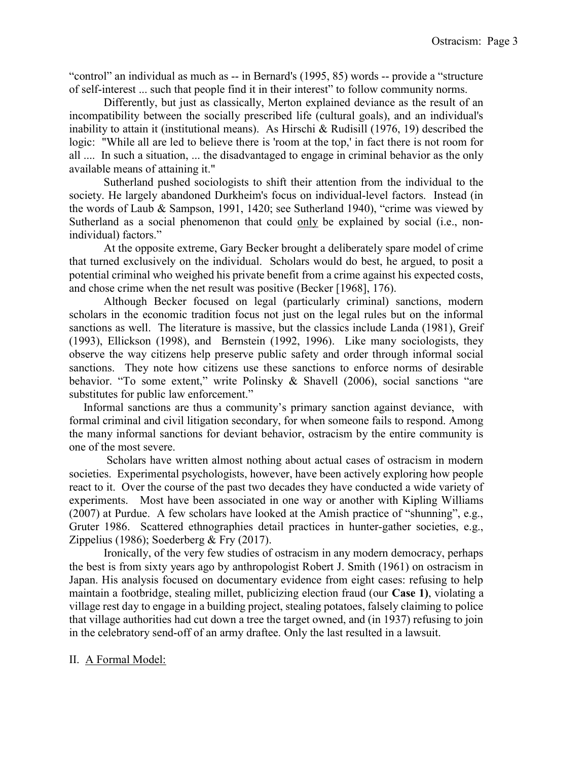"control" an individual as much as -- in Bernard's (1995, 85) words -- provide a "structure of self-interest ... such that people find it in their interest" to follow community norms.

 Differently, but just as classically, Merton explained deviance as the result of an incompatibility between the socially prescribed life (cultural goals), and an individual's inability to attain it (institutional means). As Hirschi & Rudisill (1976, 19) described the logic: "While all are led to believe there is 'room at the top,' in fact there is not room for all .... In such a situation, ... the disadvantaged to engage in criminal behavior as the only available means of attaining it."

 Sutherland pushed sociologists to shift their attention from the individual to the society. He largely abandoned Durkheim's focus on individual-level factors. Instead (in the words of Laub & Sampson, 1991, 1420; see Sutherland 1940), "crime was viewed by Sutherland as a social phenomenon that could only be explained by social (i.e., nonindividual) factors."

 At the opposite extreme, Gary Becker brought a deliberately spare model of crime that turned exclusively on the individual. Scholars would do best, he argued, to posit a potential criminal who weighed his private benefit from a crime against his expected costs, and chose crime when the net result was positive (Becker [1968], 176).

 Although Becker focused on legal (particularly criminal) sanctions, modern scholars in the economic tradition focus not just on the legal rules but on the informal sanctions as well. The literature is massive, but the classics include Landa (1981), Greif (1993), Ellickson (1998), and Bernstein (1992, 1996). Like many sociologists, they observe the way citizens help preserve public safety and order through informal social sanctions. They note how citizens use these sanctions to enforce norms of desirable behavior. "To some extent," write Polinsky & Shavell (2006), social sanctions "are substitutes for public law enforcement."

 Informal sanctions are thus a community's primary sanction against deviance, with formal criminal and civil litigation secondary, for when someone fails to respond. Among the many informal sanctions for deviant behavior, ostracism by the entire community is one of the most severe.

 Scholars have written almost nothing about actual cases of ostracism in modern societies. Experimental psychologists, however, have been actively exploring how people react to it. Over the course of the past two decades they have conducted a wide variety of experiments. Most have been associated in one way or another with Kipling Williams (2007) at Purdue. A few scholars have looked at the Amish practice of "shunning", e.g., Gruter 1986. Scattered ethnographies detail practices in hunter-gather societies, e.g., Zippelius (1986); Soederberg & Fry (2017).

 Ironically, of the very few studies of ostracism in any modern democracy, perhaps the best is from sixty years ago by anthropologist Robert J. Smith (1961) on ostracism in Japan. His analysis focused on documentary evidence from eight cases: refusing to help maintain a footbridge, stealing millet, publicizing election fraud (our Case 1), violating a village rest day to engage in a building project, stealing potatoes, falsely claiming to police that village authorities had cut down a tree the target owned, and (in 1937) refusing to join in the celebratory send-off of an army draftee. Only the last resulted in a lawsuit.

#### II. A Formal Model: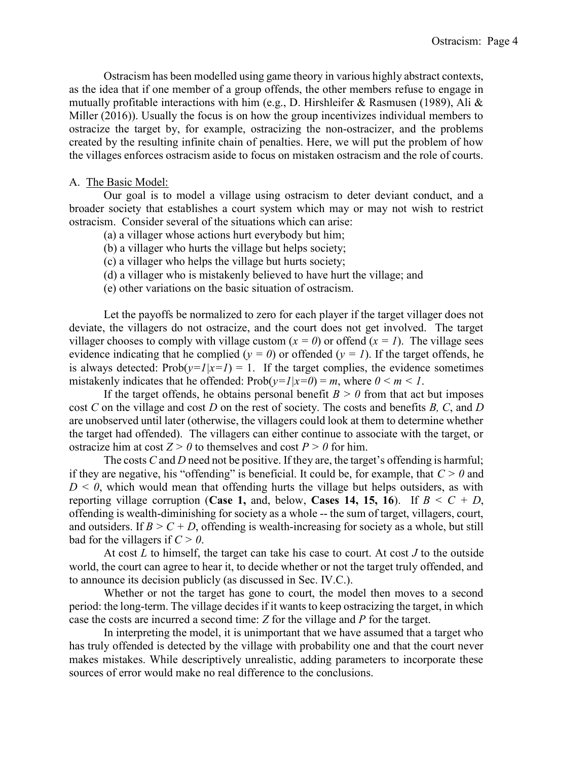Ostracism has been modelled using game theory in various highly abstract contexts, as the idea that if one member of a group offends, the other members refuse to engage in mutually profitable interactions with him (e.g., D. Hirshleifer & Rasmusen (1989), Ali & Miller (2016)). Usually the focus is on how the group incentivizes individual members to ostracize the target by, for example, ostracizing the non-ostracizer, and the problems created by the resulting infinite chain of penalties. Here, we will put the problem of how the villages enforces ostracism aside to focus on mistaken ostracism and the role of courts.

#### A. The Basic Model:

 Our goal is to model a village using ostracism to deter deviant conduct, and a broader society that establishes a court system which may or may not wish to restrict ostracism. Consider several of the situations which can arise:

- (a) a villager whose actions hurt everybody but him;
- (b) a villager who hurts the village but helps society;
- (c) a villager who helps the village but hurts society;
- (d) a villager who is mistakenly believed to have hurt the village; and
- (e) other variations on the basic situation of ostracism.

 Let the payoffs be normalized to zero for each player if the target villager does not deviate, the villagers do not ostracize, and the court does not get involved. The target villager chooses to comply with village custom  $(x = 0)$  or offend  $(x = 1)$ . The village sees evidence indicating that he complied ( $y = 0$ ) or offended ( $y = 1$ ). If the target offends, he is always detected:  $Prob(y=1|x=1) = 1$ . If the target complies, the evidence sometimes mistakenly indicates that he offended:  $Prob(y=1|x=0) = m$ , where  $0 \le m \le 1$ .

If the target offends, he obtains personal benefit  $B > 0$  from that act but imposes cost C on the village and cost D on the rest of society. The costs and benefits B, C, and D are unobserved until later (otherwise, the villagers could look at them to determine whether the target had offended). The villagers can either continue to associate with the target, or ostracize him at cost  $Z > 0$  to themselves and cost  $P > 0$  for him.

The costs  $C$  and  $D$  need not be positive. If they are, the target's offending is harmful; if they are negative, his "offending" is beneficial. It could be, for example, that  $C > 0$  and  $D \leq 0$ , which would mean that offending hurts the village but helps outsiders, as with reporting village corruption (Case 1, and, below, Cases 14, 15, 16). If  $B \le C + D$ , offending is wealth-diminishing for society as a whole -- the sum of target, villagers, court, and outsiders. If  $B > C + D$ , offending is wealth-increasing for society as a whole, but still bad for the villagers if  $C > 0$ .

At cost  $L$  to himself, the target can take his case to court. At cost  $J$  to the outside world, the court can agree to hear it, to decide whether or not the target truly offended, and to announce its decision publicly (as discussed in Sec. IV.C.).

 Whether or not the target has gone to court, the model then moves to a second period: the long-term. The village decides if it wants to keep ostracizing the target, in which case the costs are incurred a second time: Z for the village and P for the target.

 In interpreting the model, it is unimportant that we have assumed that a target who has truly offended is detected by the village with probability one and that the court never makes mistakes. While descriptively unrealistic, adding parameters to incorporate these sources of error would make no real difference to the conclusions.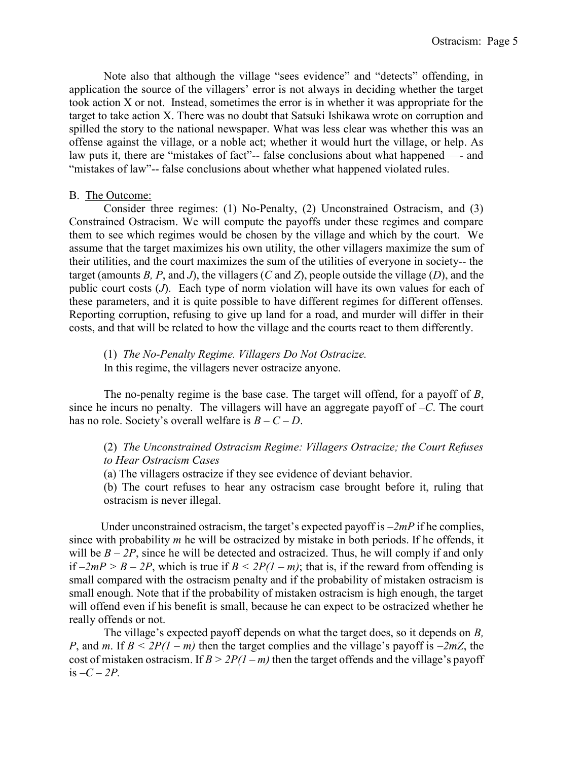Note also that although the village "sees evidence" and "detects" offending, in application the source of the villagers' error is not always in deciding whether the target took action X or not. Instead, sometimes the error is in whether it was appropriate for the target to take action X. There was no doubt that Satsuki Ishikawa wrote on corruption and spilled the story to the national newspaper. What was less clear was whether this was an offense against the village, or a noble act; whether it would hurt the village, or help. As law puts it, there are "mistakes of fact"-- false conclusions about what happened —- and "mistakes of law"-- false conclusions about whether what happened violated rules.

### B. The Outcome:

 Consider three regimes: (1) No-Penalty, (2) Unconstrained Ostracism, and (3) Constrained Ostracism. We will compute the payoffs under these regimes and compare them to see which regimes would be chosen by the village and which by the court. We assume that the target maximizes his own utility, the other villagers maximize the sum of their utilities, and the court maximizes the sum of the utilities of everyone in society-- the target (amounts B, P, and J), the villagers (C and Z), people outside the village (D), and the public court costs (J). Each type of norm violation will have its own values for each of these parameters, and it is quite possible to have different regimes for different offenses. Reporting corruption, refusing to give up land for a road, and murder will differ in their costs, and that will be related to how the village and the courts react to them differently.

 (1) The No-Penalty Regime. Villagers Do Not Ostracize. In this regime, the villagers never ostracize anyone.

The no-penalty regime is the base case. The target will offend, for a payoff of  $B$ , since he incurs no penalty. The villagers will have an aggregate payoff of  $-C$ . The court has no role. Society's overall welfare is  $B - C - D$ .

# (2) The Unconstrained Ostracism Regime: Villagers Ostracize; the Court Refuses to Hear Ostracism Cases

(a) The villagers ostracize if they see evidence of deviant behavior.

(b) The court refuses to hear any ostracism case brought before it, ruling that ostracism is never illegal.

Under unconstrained ostracism, the target's expected payoff is  $-2mP$  if he complies, since with probability m he will be ostracized by mistake in both periods. If he offends, it will be  $B - 2P$ , since he will be detected and ostracized. Thus, he will comply if and only if  $-2mP > B - 2P$ , which is true if  $B \leq 2P(1 - m)$ ; that is, if the reward from offending is small compared with the ostracism penalty and if the probability of mistaken ostracism is small enough. Note that if the probability of mistaken ostracism is high enough, the target will offend even if his benefit is small, because he can expect to be ostracized whether he really offends or not.

The village's expected payoff depends on what the target does, so it depends on B, P, and m. If  $B \leq 2P(1-m)$  then the target complies and the village's payoff is  $-2mZ$ , the cost of mistaken ostracism. If  $B > 2P(1 - m)$  then the target offends and the village's payoff is  $-C-2P$ .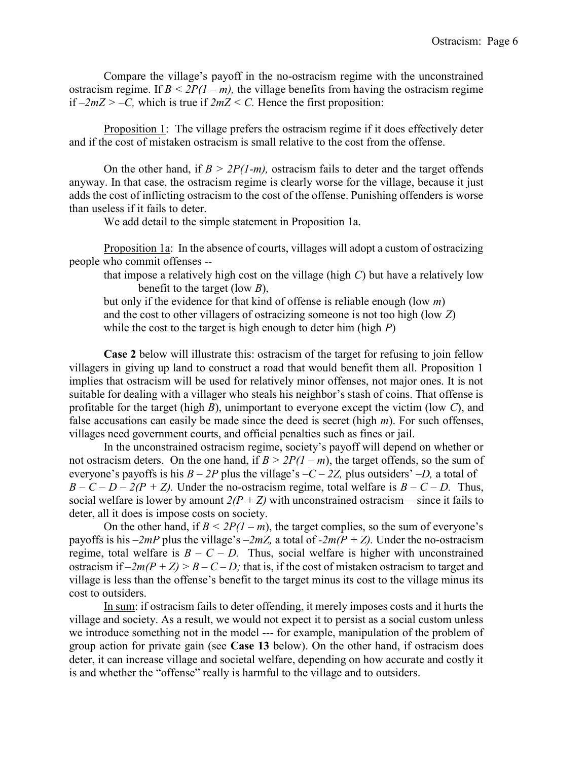Compare the village's payoff in the no-ostracism regime with the unconstrained ostracism regime. If  $B \leq 2P(1-m)$ , the village benefits from having the ostracism regime if  $-2mZ > -C$ , which is true if  $2mZ < C$ . Hence the first proposition:

 Proposition 1: The village prefers the ostracism regime if it does effectively deter and if the cost of mistaken ostracism is small relative to the cost from the offense.

On the other hand, if  $B > 2P(1-m)$ , ostracism fails to deter and the target offends anyway. In that case, the ostracism regime is clearly worse for the village, because it just adds the cost of inflicting ostracism to the cost of the offense. Punishing offenders is worse than useless if it fails to deter.

We add detail to the simple statement in Proposition 1a.

Proposition 1a: In the absence of courts, villages will adopt a custom of ostracizing people who commit offenses --

that impose a relatively high cost on the village (high  $C$ ) but have a relatively low benefit to the target (low  $B$ ),

but only if the evidence for that kind of offense is reliable enough (low  $m$ ) and the cost to other villagers of ostracizing someone is not too high (low Z) while the cost to the target is high enough to deter him (high  $P$ )

Case 2 below will illustrate this: ostracism of the target for refusing to join fellow villagers in giving up land to construct a road that would benefit them all. Proposition 1 implies that ostracism will be used for relatively minor offenses, not major ones. It is not suitable for dealing with a villager who steals his neighbor's stash of coins. That offense is profitable for the target (high  $B$ ), unimportant to everyone except the victim (low  $C$ ), and false accusations can easily be made since the deed is secret (high  $m$ ). For such offenses, villages need government courts, and official penalties such as fines or jail.

 In the unconstrained ostracism regime, society's payoff will depend on whether or not ostracism deters. On the one hand, if  $B > 2P(1 - m)$ , the target offends, so the sum of everyone's payoffs is his  $B - 2P$  plus the village's  $-C - 2Z$ , plus outsiders'  $-D$ , a total of  $B - C - D - 2(P + Z)$ . Under the no-ostracism regime, total welfare is  $B - C - D$ . Thus, social welfare is lower by amount  $2(P + Z)$  with unconstrained ostracism— since it fails to deter, all it does is impose costs on society.

On the other hand, if  $B < 2P(1 - m)$ , the target complies, so the sum of everyone's payoffs is his  $-2mP$  plus the village's  $-2mZ$ , a total of  $-2m(P + Z)$ . Under the no-ostracism regime, total welfare is  $B - C - D$ . Thus, social welfare is higher with unconstrained ostracism if  $-2m(P + Z) > B - C - D$ ; that is, if the cost of mistaken ostracism to target and village is less than the offense's benefit to the target minus its cost to the village minus its cost to outsiders.

 In sum: if ostracism fails to deter offending, it merely imposes costs and it hurts the village and society. As a result, we would not expect it to persist as a social custom unless we introduce something not in the model --- for example, manipulation of the problem of group action for private gain (see Case 13 below). On the other hand, if ostracism does deter, it can increase village and societal welfare, depending on how accurate and costly it is and whether the "offense" really is harmful to the village and to outsiders.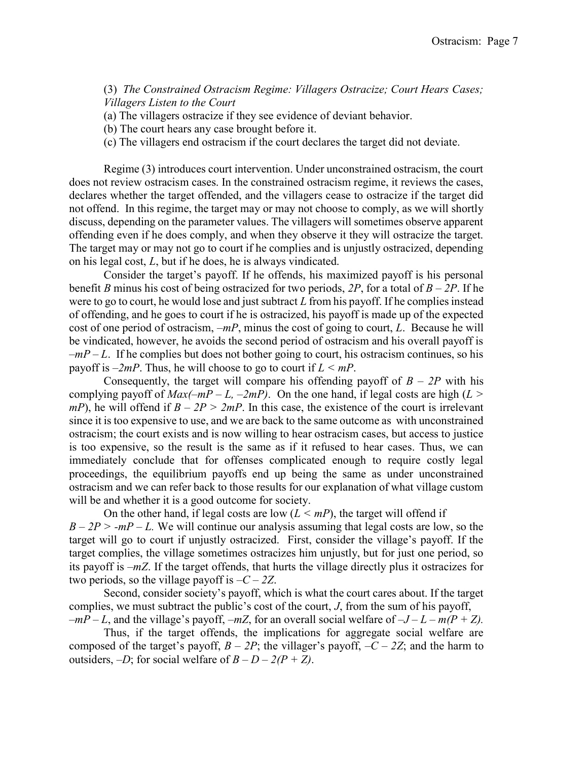(3) The Constrained Ostracism Regime: Villagers Ostracize; Court Hears Cases; Villagers Listen to the Court

(a) The villagers ostracize if they see evidence of deviant behavior.

- (b) The court hears any case brought before it.
- (c) The villagers end ostracism if the court declares the target did not deviate.

 Regime (3) introduces court intervention. Under unconstrained ostracism, the court does not review ostracism cases. In the constrained ostracism regime, it reviews the cases, declares whether the target offended, and the villagers cease to ostracize if the target did not offend. In this regime, the target may or may not choose to comply, as we will shortly discuss, depending on the parameter values. The villagers will sometimes observe apparent offending even if he does comply, and when they observe it they will ostracize the target. The target may or may not go to court if he complies and is unjustly ostracized, depending on his legal cost, L, but if he does, he is always vindicated.

 Consider the target's payoff. If he offends, his maximized payoff is his personal benefit B minus his cost of being ostracized for two periods, 2P, for a total of  $B - 2P$ . If he were to go to court, he would lose and just subtract  $L$  from his payoff. If he complies instead of offending, and he goes to court if he is ostracized, his payoff is made up of the expected cost of one period of ostracism,  $-mP$ , minus the cost of going to court, L. Because he will be vindicated, however, he avoids the second period of ostracism and his overall payoff is  $-mP-L$ . If he complies but does not bother going to court, his ostracism continues, so his payoff is  $-2mP$ . Thus, he will choose to go to court if  $L \le mP$ .

Consequently, the target will compare his offending payoff of  $B - 2P$  with his complying payoff of  $Max(-mP - L, -2mP)$ . On the one hand, if legal costs are high (L >  $mP$ ), he will offend if  $B - 2P > 2mP$ . In this case, the existence of the court is irrelevant since it is too expensive to use, and we are back to the same outcome as with unconstrained ostracism; the court exists and is now willing to hear ostracism cases, but access to justice is too expensive, so the result is the same as if it refused to hear cases. Thus, we can immediately conclude that for offenses complicated enough to require costly legal proceedings, the equilibrium payoffs end up being the same as under unconstrained ostracism and we can refer back to those results for our explanation of what village custom will be and whether it is a good outcome for society.

On the other hand, if legal costs are low  $(L \leq mP)$ , the target will offend if  $B - 2P > -mP - L$ . We will continue our analysis assuming that legal costs are low, so the target will go to court if unjustly ostracized. First, consider the village's payoff. If the target complies, the village sometimes ostracizes him unjustly, but for just one period, so its payoff is –mZ. If the target offends, that hurts the village directly plus it ostracizes for two periods, so the village payoff is  $-C-2Z$ .

 Second, consider society's payoff, which is what the court cares about. If the target complies, we must subtract the public's cost of the court, J, from the sum of his payoff,  $-mP-L$ , and the village's payoff,  $-mZ$ , for an overall social welfare of  $-J-L-m(P+Z)$ .

 Thus, if the target offends, the implications for aggregate social welfare are composed of the target's payoff,  $B - 2P$ ; the villager's payoff,  $-C - 2Z$ ; and the harm to outsiders,  $-D$ ; for social welfare of  $B - D - 2(P + Z)$ .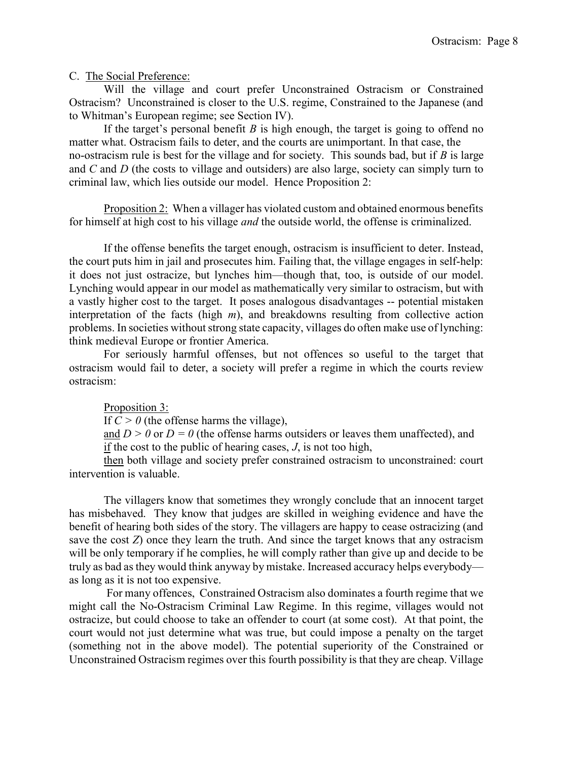C. The Social Preference:

 Will the village and court prefer Unconstrained Ostracism or Constrained Ostracism? Unconstrained is closer to the U.S. regime, Constrained to the Japanese (and to Whitman's European regime; see Section IV).

If the target's personal benefit  $B$  is high enough, the target is going to offend no matter what. Ostracism fails to deter, and the courts are unimportant. In that case, the no-ostracism rule is best for the village and for society. This sounds bad, but if  $B$  is large and  $C$  and  $D$  (the costs to village and outsiders) are also large, society can simply turn to criminal law, which lies outside our model. Hence Proposition 2:

 Proposition 2: When a villager has violated custom and obtained enormous benefits for himself at high cost to his village and the outside world, the offense is criminalized.

 If the offense benefits the target enough, ostracism is insufficient to deter. Instead, the court puts him in jail and prosecutes him. Failing that, the village engages in self-help: it does not just ostracize, but lynches him—though that, too, is outside of our model. Lynching would appear in our model as mathematically very similar to ostracism, but with a vastly higher cost to the target. It poses analogous disadvantages -- potential mistaken interpretation of the facts (high  $m$ ), and breakdowns resulting from collective action problems. In societies without strong state capacity, villages do often make use of lynching: think medieval Europe or frontier America.

 For seriously harmful offenses, but not offences so useful to the target that ostracism would fail to deter, a society will prefer a regime in which the courts review ostracism:

Proposition 3:

If  $C > 0$  (the offense harms the village),

and  $D > 0$  or  $D = 0$  (the offense harms outsiders or leaves them unaffected), and if the cost to the public of hearing cases, J, is not too high,

 then both village and society prefer constrained ostracism to unconstrained: court intervention is valuable.

The villagers know that sometimes they wrongly conclude that an innocent target has misbehaved. They know that judges are skilled in weighing evidence and have the benefit of hearing both sides of the story. The villagers are happy to cease ostracizing (and save the cost  $Z$ ) once they learn the truth. And since the target knows that any ostracism will be only temporary if he complies, he will comply rather than give up and decide to be truly as bad as they would think anyway by mistake. Increased accuracy helps everybody as long as it is not too expensive.

 For many offences, Constrained Ostracism also dominates a fourth regime that we might call the No-Ostracism Criminal Law Regime. In this regime, villages would not ostracize, but could choose to take an offender to court (at some cost). At that point, the court would not just determine what was true, but could impose a penalty on the target (something not in the above model). The potential superiority of the Constrained or Unconstrained Ostracism regimes over this fourth possibility is that they are cheap. Village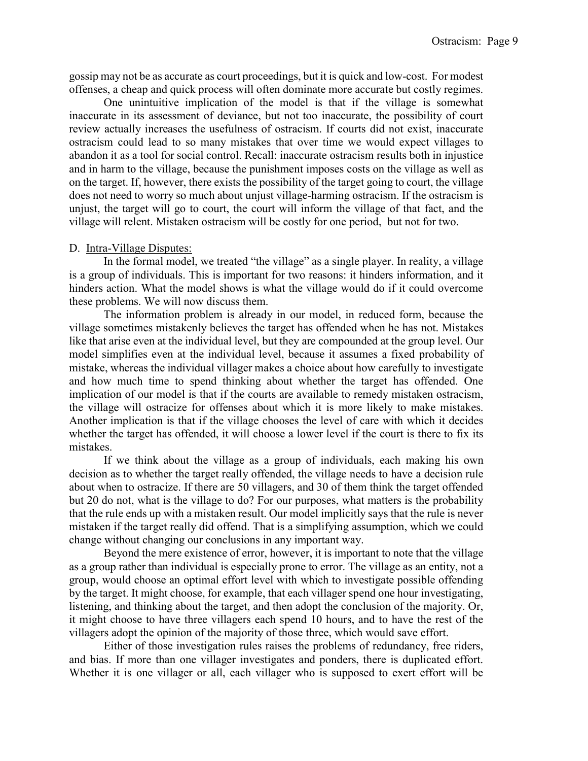gossip may not be as accurate as court proceedings, but it is quick and low-cost. For modest offenses, a cheap and quick process will often dominate more accurate but costly regimes.

 One unintuitive implication of the model is that if the village is somewhat inaccurate in its assessment of deviance, but not too inaccurate, the possibility of court review actually increases the usefulness of ostracism. If courts did not exist, inaccurate ostracism could lead to so many mistakes that over time we would expect villages to abandon it as a tool for social control. Recall: inaccurate ostracism results both in injustice and in harm to the village, because the punishment imposes costs on the village as well as on the target. If, however, there exists the possibility of the target going to court, the village does not need to worry so much about unjust village-harming ostracism. If the ostracism is unjust, the target will go to court, the court will inform the village of that fact, and the village will relent. Mistaken ostracism will be costly for one period, but not for two.

#### D. Intra-Village Disputes:

 In the formal model, we treated "the village" as a single player. In reality, a village is a group of individuals. This is important for two reasons: it hinders information, and it hinders action. What the model shows is what the village would do if it could overcome these problems. We will now discuss them.

 The information problem is already in our model, in reduced form, because the village sometimes mistakenly believes the target has offended when he has not. Mistakes like that arise even at the individual level, but they are compounded at the group level. Our model simplifies even at the individual level, because it assumes a fixed probability of mistake, whereas the individual villager makes a choice about how carefully to investigate and how much time to spend thinking about whether the target has offended. One implication of our model is that if the courts are available to remedy mistaken ostracism, the village will ostracize for offenses about which it is more likely to make mistakes. Another implication is that if the village chooses the level of care with which it decides whether the target has offended, it will choose a lower level if the court is there to fix its mistakes.

 If we think about the village as a group of individuals, each making his own decision as to whether the target really offended, the village needs to have a decision rule about when to ostracize. If there are 50 villagers, and 30 of them think the target offended but 20 do not, what is the village to do? For our purposes, what matters is the probability that the rule ends up with a mistaken result. Our model implicitly says that the rule is never mistaken if the target really did offend. That is a simplifying assumption, which we could change without changing our conclusions in any important way.

 Beyond the mere existence of error, however, it is important to note that the village as a group rather than individual is especially prone to error. The village as an entity, not a group, would choose an optimal effort level with which to investigate possible offending by the target. It might choose, for example, that each villager spend one hour investigating, listening, and thinking about the target, and then adopt the conclusion of the majority. Or, it might choose to have three villagers each spend 10 hours, and to have the rest of the villagers adopt the opinion of the majority of those three, which would save effort.

 Either of those investigation rules raises the problems of redundancy, free riders, and bias. If more than one villager investigates and ponders, there is duplicated effort. Whether it is one villager or all, each villager who is supposed to exert effort will be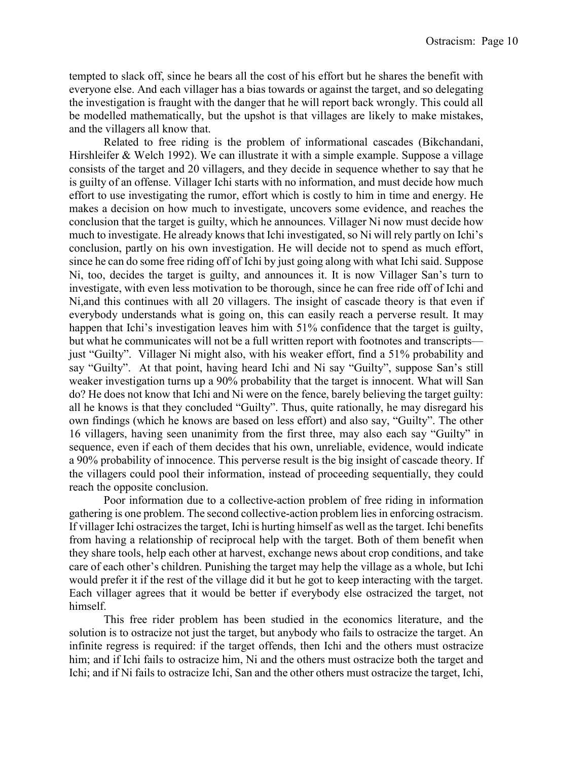tempted to slack off, since he bears all the cost of his effort but he shares the benefit with everyone else. And each villager has a bias towards or against the target, and so delegating the investigation is fraught with the danger that he will report back wrongly. This could all be modelled mathematically, but the upshot is that villages are likely to make mistakes, and the villagers all know that.

 Related to free riding is the problem of informational cascades (Bikchandani, Hirshleifer & Welch 1992). We can illustrate it with a simple example. Suppose a village consists of the target and 20 villagers, and they decide in sequence whether to say that he is guilty of an offense. Villager Ichi starts with no information, and must decide how much effort to use investigating the rumor, effort which is costly to him in time and energy. He makes a decision on how much to investigate, uncovers some evidence, and reaches the conclusion that the target is guilty, which he announces. Villager Ni now must decide how much to investigate. He already knows that Ichi investigated, so Ni will rely partly on Ichi's conclusion, partly on his own investigation. He will decide not to spend as much effort, since he can do some free riding off of Ichi by just going along with what Ichi said. Suppose Ni, too, decides the target is guilty, and announces it. It is now Villager San's turn to investigate, with even less motivation to be thorough, since he can free ride off of Ichi and Ni,and this continues with all 20 villagers. The insight of cascade theory is that even if everybody understands what is going on, this can easily reach a perverse result. It may happen that Ichi's investigation leaves him with 51% confidence that the target is guilty, but what he communicates will not be a full written report with footnotes and transcripts just "Guilty". Villager Ni might also, with his weaker effort, find a 51% probability and say "Guilty". At that point, having heard Ichi and Ni say "Guilty", suppose San's still weaker investigation turns up a 90% probability that the target is innocent. What will San do? He does not know that Ichi and Ni were on the fence, barely believing the target guilty: all he knows is that they concluded "Guilty". Thus, quite rationally, he may disregard his own findings (which he knows are based on less effort) and also say, "Guilty". The other 16 villagers, having seen unanimity from the first three, may also each say "Guilty" in sequence, even if each of them decides that his own, unreliable, evidence, would indicate a 90% probability of innocence. This perverse result is the big insight of cascade theory. If the villagers could pool their information, instead of proceeding sequentially, they could reach the opposite conclusion.

 Poor information due to a collective-action problem of free riding in information gathering is one problem. The second collective-action problem lies in enforcing ostracism. If villager Ichi ostracizes the target, Ichi is hurting himself as well as the target. Ichi benefits from having a relationship of reciprocal help with the target. Both of them benefit when they share tools, help each other at harvest, exchange news about crop conditions, and take care of each other's children. Punishing the target may help the village as a whole, but Ichi would prefer it if the rest of the village did it but he got to keep interacting with the target. Each villager agrees that it would be better if everybody else ostracized the target, not himself.

 This free rider problem has been studied in the economics literature, and the solution is to ostracize not just the target, but anybody who fails to ostracize the target. An infinite regress is required: if the target offends, then Ichi and the others must ostracize him; and if Ichi fails to ostracize him, Ni and the others must ostracize both the target and Ichi; and if Ni fails to ostracize Ichi, San and the other others must ostracize the target, Ichi,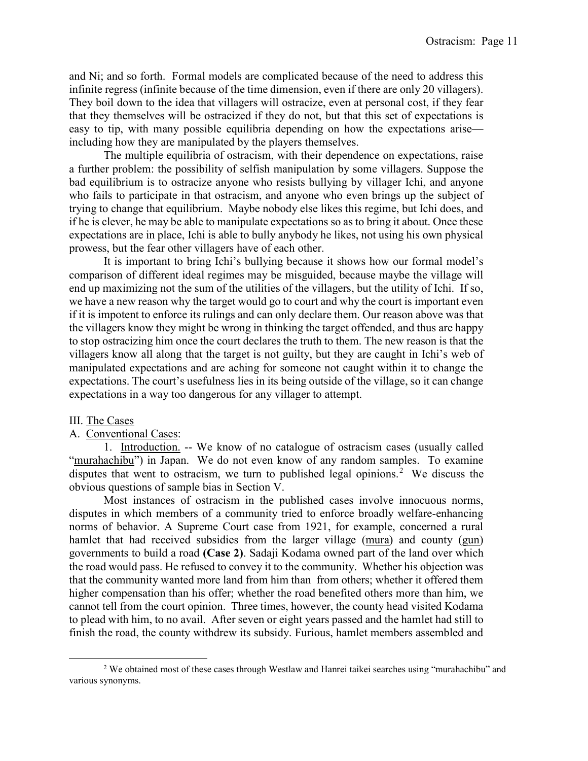and Ni; and so forth. Formal models are complicated because of the need to address this infinite regress (infinite because of the time dimension, even if there are only 20 villagers). They boil down to the idea that villagers will ostracize, even at personal cost, if they fear that they themselves will be ostracized if they do not, but that this set of expectations is easy to tip, with many possible equilibria depending on how the expectations arise including how they are manipulated by the players themselves.

 The multiple equilibria of ostracism, with their dependence on expectations, raise a further problem: the possibility of selfish manipulation by some villagers. Suppose the bad equilibrium is to ostracize anyone who resists bullying by villager Ichi, and anyone who fails to participate in that ostracism, and anyone who even brings up the subject of trying to change that equilibrium. Maybe nobody else likes this regime, but Ichi does, and if he is clever, he may be able to manipulate expectations so as to bring it about. Once these expectations are in place, Ichi is able to bully anybody he likes, not using his own physical prowess, but the fear other villagers have of each other.

 It is important to bring Ichi's bullying because it shows how our formal model's comparison of different ideal regimes may be misguided, because maybe the village will end up maximizing not the sum of the utilities of the villagers, but the utility of Ichi. If so, we have a new reason why the target would go to court and why the court is important even if it is impotent to enforce its rulings and can only declare them. Our reason above was that the villagers know they might be wrong in thinking the target offended, and thus are happy to stop ostracizing him once the court declares the truth to them. The new reason is that the villagers know all along that the target is not guilty, but they are caught in Ichi's web of manipulated expectations and are aching for someone not caught within it to change the expectations. The court's usefulness lies in its being outside of the village, so it can change expectations in a way too dangerous for any villager to attempt.

### III. The Cases

l

## A. Conventional Cases:

 1. Introduction. -- We know of no catalogue of ostracism cases (usually called "murahachibu") in Japan. We do not even know of any random samples. To examine disputes that went to ostracism, we turn to published legal opinions.<sup>2</sup> We discuss the obvious questions of sample bias in Section V.

 Most instances of ostracism in the published cases involve innocuous norms, disputes in which members of a community tried to enforce broadly welfare-enhancing norms of behavior. A Supreme Court case from 1921, for example, concerned a rural hamlet that had received subsidies from the larger village (mura) and county (gun) governments to build a road (Case 2). Sadaji Kodama owned part of the land over which the road would pass. He refused to convey it to the community. Whether his objection was that the community wanted more land from him than from others; whether it offered them higher compensation than his offer; whether the road benefited others more than him, we cannot tell from the court opinion. Three times, however, the county head visited Kodama to plead with him, to no avail. After seven or eight years passed and the hamlet had still to finish the road, the county withdrew its subsidy. Furious, hamlet members assembled and

<sup>&</sup>lt;sup>2</sup> We obtained most of these cases through Westlaw and Hanrei taikei searches using "murahachibu" and various synonyms.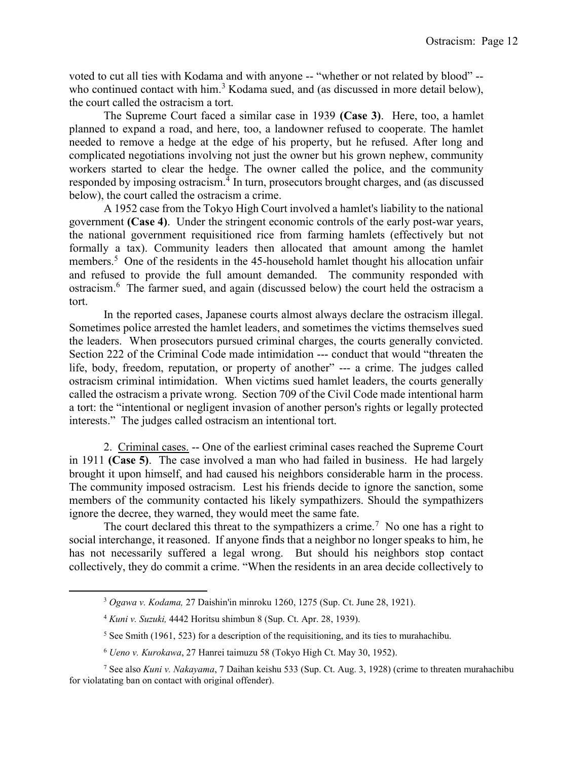voted to cut all ties with Kodama and with anyone -- "whether or not related by blood" - who continued contact with him.<sup>3</sup> Kodama sued, and (as discussed in more detail below), the court called the ostracism a tort.

 The Supreme Court faced a similar case in 1939 (Case 3). Here, too, a hamlet planned to expand a road, and here, too, a landowner refused to cooperate. The hamlet needed to remove a hedge at the edge of his property, but he refused. After long and complicated negotiations involving not just the owner but his grown nephew, community workers started to clear the hedge. The owner called the police, and the community responded by imposing ostracism.<sup>4</sup> In turn, prosecutors brought charges, and (as discussed below), the court called the ostracism a crime.

 A 1952 case from the Tokyo High Court involved a hamlet's liability to the national government (Case 4). Under the stringent economic controls of the early post-war years, the national government requisitioned rice from farming hamlets (effectively but not formally a tax). Community leaders then allocated that amount among the hamlet members.<sup>5</sup> One of the residents in the 45-household hamlet thought his allocation unfair and refused to provide the full amount demanded. The community responded with ostracism.<sup>6</sup> The farmer sued, and again (discussed below) the court held the ostracism a tort.

 In the reported cases, Japanese courts almost always declare the ostracism illegal. Sometimes police arrested the hamlet leaders, and sometimes the victims themselves sued the leaders. When prosecutors pursued criminal charges, the courts generally convicted. Section 222 of the Criminal Code made intimidation --- conduct that would "threaten the life, body, freedom, reputation, or property of another" --- a crime. The judges called ostracism criminal intimidation. When victims sued hamlet leaders, the courts generally called the ostracism a private wrong. Section 709 of the Civil Code made intentional harm a tort: the "intentional or negligent invasion of another person's rights or legally protected interests." The judges called ostracism an intentional tort.

 2. Criminal cases. -- One of the earliest criminal cases reached the Supreme Court in 1911 (Case 5). The case involved a man who had failed in business. He had largely brought it upon himself, and had caused his neighbors considerable harm in the process. The community imposed ostracism. Lest his friends decide to ignore the sanction, some members of the community contacted his likely sympathizers. Should the sympathizers ignore the decree, they warned, they would meet the same fate.

The court declared this threat to the sympathizers a crime.<sup>7</sup> No one has a right to social interchange, it reasoned. If anyone finds that a neighbor no longer speaks to him, he has not necessarily suffered a legal wrong. But should his neighbors stop contact collectively, they do commit a crime. "When the residents in an area decide collectively to

<sup>3</sup> Ogawa v. Kodama, 27 Daishin'in minroku 1260, 1275 (Sup. Ct. June 28, 1921).

<sup>4</sup> Kuni v. Suzuki, 4442 Horitsu shimbun 8 (Sup. Ct. Apr. 28, 1939).

<sup>&</sup>lt;sup>5</sup> See Smith (1961, 523) for a description of the requisitioning, and its ties to murahachibu.

<sup>6</sup> Ueno v. Kurokawa, 27 Hanrei taimuzu 58 (Tokyo High Ct. May 30, 1952).

<sup>&</sup>lt;sup>7</sup> See also Kuni v. Nakayama, 7 Daihan keishu 533 (Sup. Ct. Aug. 3, 1928) (crime to threaten murahachibu for violatating ban on contact with original offender).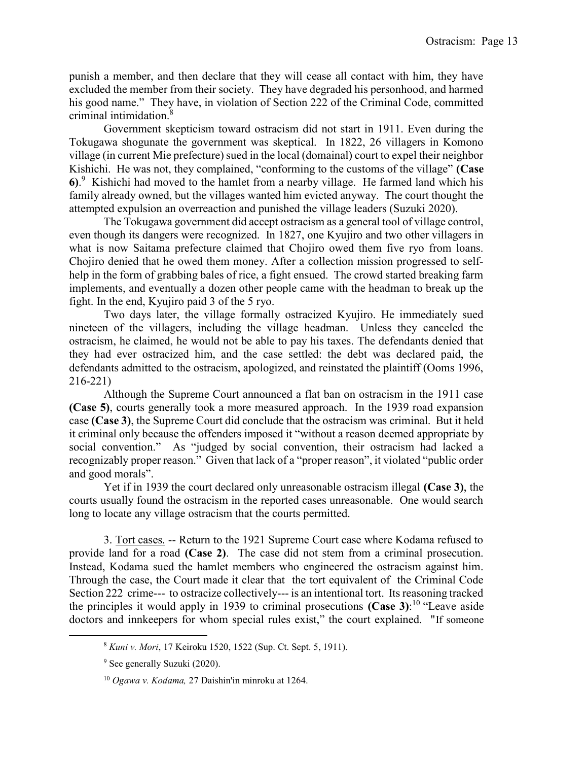punish a member, and then declare that they will cease all contact with him, they have excluded the member from their society. They have degraded his personhood, and harmed his good name." They have, in violation of Section 222 of the Criminal Code, committed criminal intimidation.<sup>8</sup>

 Government skepticism toward ostracism did not start in 1911. Even during the Tokugawa shogunate the government was skeptical. In 1822, 26 villagers in Komono village (in current Mie prefecture) sued in the local (domainal) court to expel their neighbor Kishichi. He was not, they complained, "conforming to the customs of the village" (Case 6). <sup>9</sup> Kishichi had moved to the hamlet from a nearby village. He farmed land which his family already owned, but the villages wanted him evicted anyway. The court thought the attempted expulsion an overreaction and punished the village leaders (Suzuki 2020).

 The Tokugawa government did accept ostracism as a general tool of village control, even though its dangers were recognized. In 1827, one Kyujiro and two other villagers in what is now Saitama prefecture claimed that Chojiro owed them five ryo from loans. Chojiro denied that he owed them money. After a collection mission progressed to selfhelp in the form of grabbing bales of rice, a fight ensued. The crowd started breaking farm implements, and eventually a dozen other people came with the headman to break up the fight. In the end, Kyujiro paid 3 of the 5 ryo.

 Two days later, the village formally ostracized Kyujiro. He immediately sued nineteen of the villagers, including the village headman. Unless they canceled the ostracism, he claimed, he would not be able to pay his taxes. The defendants denied that they had ever ostracized him, and the case settled: the debt was declared paid, the defendants admitted to the ostracism, apologized, and reinstated the plaintiff (Ooms 1996, 216-221)

 Although the Supreme Court announced a flat ban on ostracism in the 1911 case (Case 5), courts generally took a more measured approach. In the 1939 road expansion case (Case 3), the Supreme Court did conclude that the ostracism was criminal. But it held it criminal only because the offenders imposed it "without a reason deemed appropriate by social convention." As "judged by social convention, their ostracism had lacked a recognizably proper reason." Given that lack of a "proper reason", it violated "public order and good morals".

 Yet if in 1939 the court declared only unreasonable ostracism illegal (Case 3), the courts usually found the ostracism in the reported cases unreasonable. One would search long to locate any village ostracism that the courts permitted.

 3. Tort cases. -- Return to the 1921 Supreme Court case where Kodama refused to provide land for a road (Case 2). The case did not stem from a criminal prosecution. Instead, Kodama sued the hamlet members who engineered the ostracism against him. Through the case, the Court made it clear that the tort equivalent of the Criminal Code Section 222 crime--- to ostracize collectively--- is an intentional tort. Its reasoning tracked the principles it would apply in 1939 to criminal prosecutions (Case 3):<sup>10</sup> "Leave aside doctors and innkeepers for whom special rules exist," the court explained. "If someone

<sup>8</sup> Kuni v. Mori, 17 Keiroku 1520, 1522 (Sup. Ct. Sept. 5, 1911).

<sup>&</sup>lt;sup>9</sup> See generally Suzuki (2020).

 $10$  Ogawa v. Kodama, 27 Daishin'in minroku at 1264.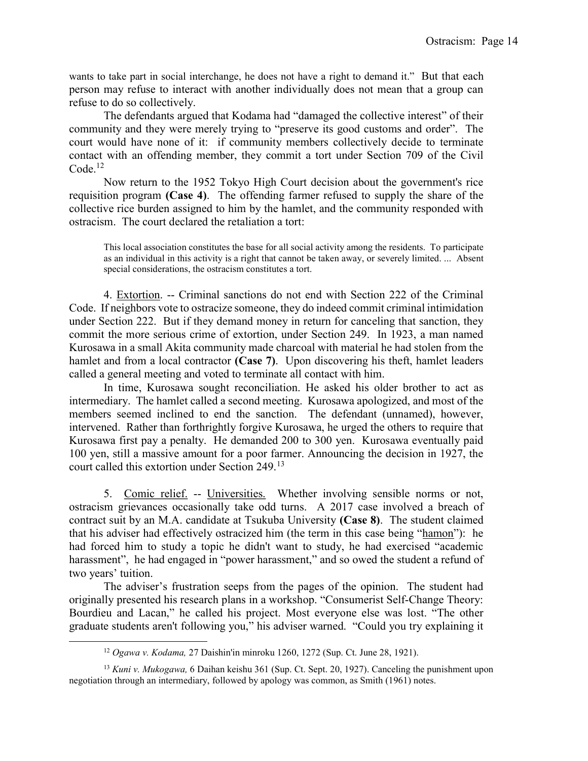wants to take part in social interchange, he does not have a right to demand it." But that each person may refuse to interact with another individually does not mean that a group can refuse to do so collectively.

 The defendants argued that Kodama had "damaged the collective interest" of their community and they were merely trying to "preserve its good customs and order". The court would have none of it: if community members collectively decide to terminate contact with an offending member, they commit a tort under Section 709 of the Civil  $Code<sup>12</sup>$ 

 Now return to the 1952 Tokyo High Court decision about the government's rice requisition program (Case 4). The offending farmer refused to supply the share of the collective rice burden assigned to him by the hamlet, and the community responded with ostracism. The court declared the retaliation a tort:

This local association constitutes the base for all social activity among the residents. To participate as an individual in this activity is a right that cannot be taken away, or severely limited. ... Absent special considerations, the ostracism constitutes a tort.

 4. Extortion. -- Criminal sanctions do not end with Section 222 of the Criminal Code. If neighbors vote to ostracize someone, they do indeed commit criminal intimidation under Section 222. But if they demand money in return for canceling that sanction, they commit the more serious crime of extortion, under Section 249. In 1923, a man named Kurosawa in a small Akita community made charcoal with material he had stolen from the hamlet and from a local contractor (Case 7). Upon discovering his theft, hamlet leaders called a general meeting and voted to terminate all contact with him.

 In time, Kurosawa sought reconciliation. He asked his older brother to act as intermediary. The hamlet called a second meeting. Kurosawa apologized, and most of the members seemed inclined to end the sanction. The defendant (unnamed), however, intervened. Rather than forthrightly forgive Kurosawa, he urged the others to require that Kurosawa first pay a penalty. He demanded 200 to 300 yen. Kurosawa eventually paid 100 yen, still a massive amount for a poor farmer. Announcing the decision in 1927, the court called this extortion under Section 249.<sup>13</sup>

 5. Comic relief. -- Universities. Whether involving sensible norms or not, ostracism grievances occasionally take odd turns. A 2017 case involved a breach of contract suit by an M.A. candidate at Tsukuba University (Case 8). The student claimed that his adviser had effectively ostracized him (the term in this case being "hamon"): he had forced him to study a topic he didn't want to study, he had exercised "academic harassment", he had engaged in "power harassment," and so owed the student a refund of two years' tuition.

 The adviser's frustration seeps from the pages of the opinion. The student had originally presented his research plans in a workshop. "Consumerist Self-Change Theory: Bourdieu and Lacan," he called his project. Most everyone else was lost. "The other graduate students aren't following you," his adviser warned. "Could you try explaining it

<sup>12</sup> Ogawa v. Kodama, 27 Daishin'in minroku 1260, 1272 (Sup. Ct. June 28, 1921).

 $13$  Kuni v. Mukogawa, 6 Daihan keishu 361 (Sup. Ct. Sept. 20, 1927). Canceling the punishment upon negotiation through an intermediary, followed by apology was common, as Smith (1961) notes.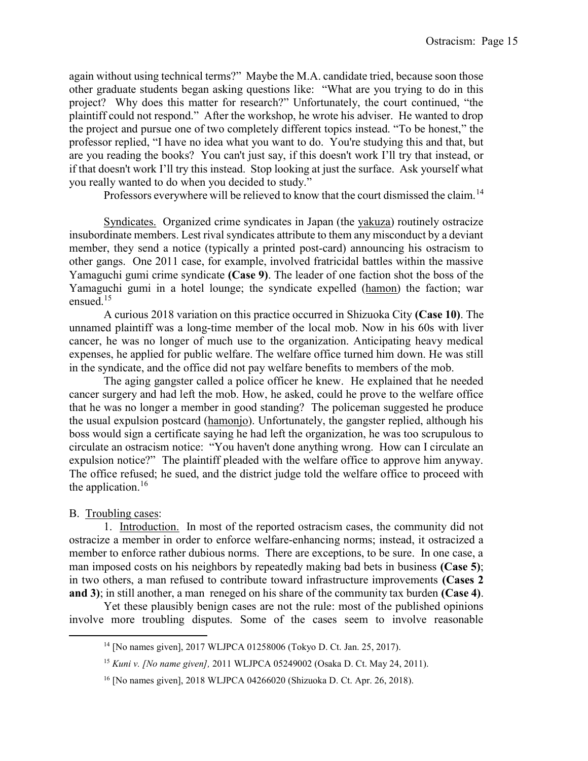again without using technical terms?" Maybe the M.A. candidate tried, because soon those other graduate students began asking questions like: "What are you trying to do in this project? Why does this matter for research?" Unfortunately, the court continued, "the plaintiff could not respond." After the workshop, he wrote his adviser. He wanted to drop the project and pursue one of two completely different topics instead. "To be honest," the professor replied, "I have no idea what you want to do. You're studying this and that, but are you reading the books? You can't just say, if this doesn't work I'll try that instead, or if that doesn't work I'll try this instead. Stop looking at just the surface. Ask yourself what you really wanted to do when you decided to study."

Professors everywhere will be relieved to know that the court dismissed the claim.<sup>14</sup>

 Syndicates. Organized crime syndicates in Japan (the yakuza) routinely ostracize insubordinate members. Lest rival syndicates attribute to them any misconduct by a deviant member, they send a notice (typically a printed post-card) announcing his ostracism to other gangs. One 2011 case, for example, involved fratricidal battles within the massive Yamaguchi gumi crime syndicate (Case 9). The leader of one faction shot the boss of the Yamaguchi gumi in a hotel lounge; the syndicate expelled (hamon) the faction; war ensued.<sup>15</sup>

 A curious 2018 variation on this practice occurred in Shizuoka City (Case 10). The unnamed plaintiff was a long-time member of the local mob. Now in his 60s with liver cancer, he was no longer of much use to the organization. Anticipating heavy medical expenses, he applied for public welfare. The welfare office turned him down. He was still in the syndicate, and the office did not pay welfare benefits to members of the mob.

 The aging gangster called a police officer he knew. He explained that he needed cancer surgery and had left the mob. How, he asked, could he prove to the welfare office that he was no longer a member in good standing? The policeman suggested he produce the usual expulsion postcard (hamonjo). Unfortunately, the gangster replied, although his boss would sign a certificate saying he had left the organization, he was too scrupulous to circulate an ostracism notice: "You haven't done anything wrong. How can I circulate an expulsion notice?" The plaintiff pleaded with the welfare office to approve him anyway. The office refused; he sued, and the district judge told the welfare office to proceed with the application.<sup>16</sup>

# B. Troubling cases:

l

 1. Introduction. In most of the reported ostracism cases, the community did not ostracize a member in order to enforce welfare-enhancing norms; instead, it ostracized a member to enforce rather dubious norms. There are exceptions, to be sure. In one case, a man imposed costs on his neighbors by repeatedly making bad bets in business (Case 5); in two others, a man refused to contribute toward infrastructure improvements (Cases 2 and 3); in still another, a man reneged on his share of the community tax burden (Case 4).

 Yet these plausibly benign cases are not the rule: most of the published opinions involve more troubling disputes. Some of the cases seem to involve reasonable

<sup>14</sup> [No names given], 2017 WLJPCA 01258006 (Tokyo D. Ct. Jan. 25, 2017).

<sup>15</sup> Kuni v. [No name given], 2011 WLJPCA 05249002 (Osaka D. Ct. May 24, 2011).

<sup>16</sup> [No names given], 2018 WLJPCA 04266020 (Shizuoka D. Ct. Apr. 26, 2018).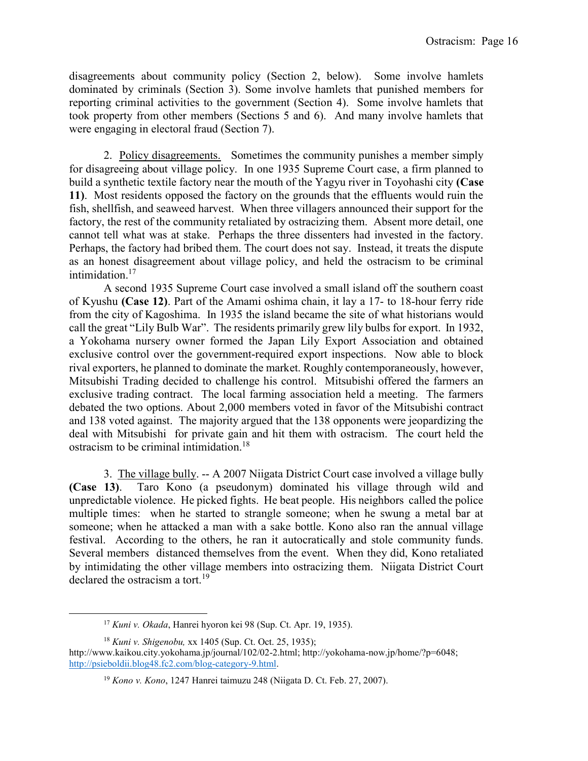disagreements about community policy (Section 2, below). Some involve hamlets dominated by criminals (Section 3). Some involve hamlets that punished members for reporting criminal activities to the government (Section 4). Some involve hamlets that took property from other members (Sections 5 and 6). And many involve hamlets that were engaging in electoral fraud (Section 7).

2. Policy disagreements. Sometimes the community punishes a member simply for disagreeing about village policy. In one 1935 Supreme Court case, a firm planned to build a synthetic textile factory near the mouth of the Yagyu river in Toyohashi city (Case 11). Most residents opposed the factory on the grounds that the effluents would ruin the fish, shellfish, and seaweed harvest. When three villagers announced their support for the factory, the rest of the community retaliated by ostracizing them. Absent more detail, one cannot tell what was at stake. Perhaps the three dissenters had invested in the factory. Perhaps, the factory had bribed them. The court does not say. Instead, it treats the dispute as an honest disagreement about village policy, and held the ostracism to be criminal intimidation.<sup>17</sup>

 A second 1935 Supreme Court case involved a small island off the southern coast of Kyushu (Case 12). Part of the Amami oshima chain, it lay a 17- to 18-hour ferry ride from the city of Kagoshima. In 1935 the island became the site of what historians would call the great "Lily Bulb War". The residents primarily grew lily bulbs for export. In 1932, a Yokohama nursery owner formed the Japan Lily Export Association and obtained exclusive control over the government-required export inspections. Now able to block rival exporters, he planned to dominate the market. Roughly contemporaneously, however, Mitsubishi Trading decided to challenge his control. Mitsubishi offered the farmers an exclusive trading contract. The local farming association held a meeting. The farmers debated the two options. About 2,000 members voted in favor of the Mitsubishi contract and 138 voted against. The majority argued that the 138 opponents were jeopardizing the deal with Mitsubishi for private gain and hit them with ostracism. The court held the ostracism to be criminal intimidation.<sup>18</sup>

 3. The village bully. -- A 2007 Niigata District Court case involved a village bully (Case 13). Taro Kono (a pseudonym) dominated his village through wild and unpredictable violence. He picked fights. He beat people. His neighbors called the police multiple times: when he started to strangle someone; when he swung a metal bar at someone; when he attacked a man with a sake bottle. Kono also ran the annual village festival. According to the others, he ran it autocratically and stole community funds. Several members distanced themselves from the event. When they did, Kono retaliated by intimidating the other village members into ostracizing them. Niigata District Court declared the ostracism a tort.<sup>19</sup>

<sup>&</sup>lt;sup>17</sup> Kuni v. Okada, Hanrei hyoron kei 98 (Sup. Ct. Apr. 19, 1935).

 $18$  Kuni v. Shigenobu, xx 1405 (Sup. Ct. Oct. 25, 1935);

http://www.kaikou.city.yokohama.jp/journal/102/02-2.html; http://yokohama-now.jp/home/?p=6048; http://psieboldii.blog48.fc2.com/blog-category-9.html.

 $19$  Kono v. Kono, 1247 Hanrei taimuzu 248 (Niigata D. Ct. Feb. 27, 2007).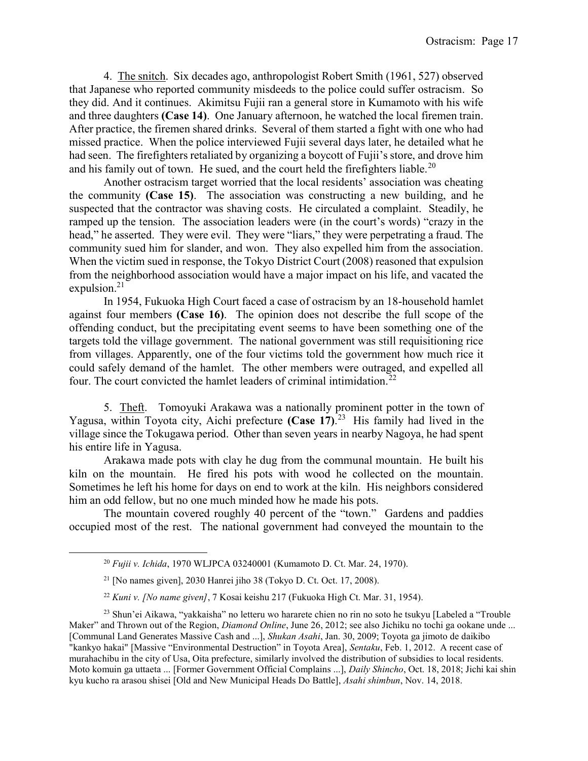4. The snitch. Six decades ago, anthropologist Robert Smith (1961, 527) observed that Japanese who reported community misdeeds to the police could suffer ostracism. So they did. And it continues. Akimitsu Fujii ran a general store in Kumamoto with his wife and three daughters (Case 14). One January afternoon, he watched the local firemen train. After practice, the firemen shared drinks. Several of them started a fight with one who had missed practice. When the police interviewed Fujii several days later, he detailed what he had seen. The firefighters retaliated by organizing a boycott of Fujii's store, and drove him and his family out of town. He sued, and the court held the firefighters liable.<sup>20</sup>

 Another ostracism target worried that the local residents' association was cheating the community (Case 15). The association was constructing a new building, and he suspected that the contractor was shaving costs. He circulated a complaint. Steadily, he ramped up the tension. The association leaders were (in the court's words) "crazy in the head," he asserted. They were evil. They were "liars," they were perpetrating a fraud. The community sued him for slander, and won. They also expelled him from the association. When the victim sued in response, the Tokyo District Court (2008) reasoned that expulsion from the neighborhood association would have a major impact on his life, and vacated the expulsion. $21$ 

 In 1954, Fukuoka High Court faced a case of ostracism by an 18-household hamlet against four members (Case 16). The opinion does not describe the full scope of the offending conduct, but the precipitating event seems to have been something one of the targets told the village government. The national government was still requisitioning rice from villages. Apparently, one of the four victims told the government how much rice it could safely demand of the hamlet. The other members were outraged, and expelled all four. The court convicted the hamlet leaders of criminal intimidation.<sup>22</sup>

 5. Theft. Tomoyuki Arakawa was a nationally prominent potter in the town of Yagusa, within Toyota city, Aichi prefecture (Case 17).<sup>23</sup> His family had lived in the village since the Tokugawa period. Other than seven years in nearby Nagoya, he had spent his entire life in Yagusa.

 Arakawa made pots with clay he dug from the communal mountain. He built his kiln on the mountain. He fired his pots with wood he collected on the mountain. Sometimes he left his home for days on end to work at the kiln. His neighbors considered him an odd fellow, but no one much minded how he made his pots.

 The mountain covered roughly 40 percent of the "town." Gardens and paddies occupied most of the rest. The national government had conveyed the mountain to the

 $^{20}$  Fujii v. Ichida, 1970 WLJPCA 03240001 (Kumamoto D. Ct. Mar. 24, 1970).

 $21$  [No names given], 2030 Hanrei jiho 38 (Tokyo D. Ct. Oct. 17, 2008).

 $22$  Kuni v. [No name given], 7 Kosai keishu 217 (Fukuoka High Ct. Mar. 31, 1954).

<sup>&</sup>lt;sup>23</sup> Shun'ei Aikawa, "yakkaisha" no letteru wo hararete chien no rin no soto he tsukyu [Labeled a "Trouble Maker" and Thrown out of the Region, *Diamond Online*, June 26, 2012; see also Jichiku no tochi ga ookane unde ... [Communal Land Generates Massive Cash and ...], Shukan Asahi, Jan. 30, 2009; Toyota ga jimoto de daikibo "kankyo hakai" [Massive "Environmental Destruction" in Toyota Area], Sentaku, Feb. 1, 2012. A recent case of murahachibu in the city of Usa, Oita prefecture, similarly involved the distribution of subsidies to local residents. Moto komuin ga uttaeta ... [Former Government Official Complains ...], Daily Shincho, Oct. 18, 2018; Jichi kai shin kyu kucho ra arasou shisei [Old and New Municipal Heads Do Battle], Asahi shimbun, Nov. 14, 2018.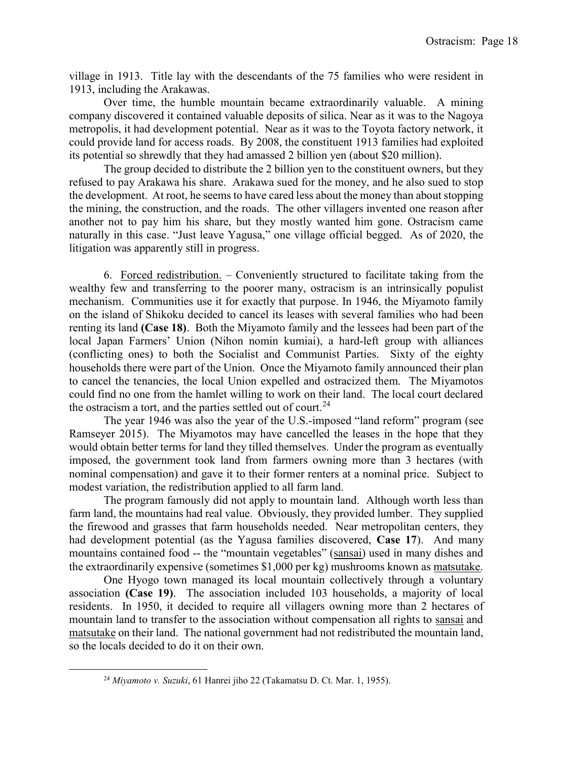village in 1913. Title lay with the descendants of the 75 families who were resident in 1913, including the Arakawas.

 Over time, the humble mountain became extraordinarily valuable. A mining company discovered it contained valuable deposits of silica. Near as it was to the Nagoya metropolis, it had development potential. Near as it was to the Toyota factory network, it could provide land for access roads. By 2008, the constituent 1913 families had exploited its potential so shrewdly that they had amassed 2 billion yen (about \$20 million).

 The group decided to distribute the 2 billion yen to the constituent owners, but they refused to pay Arakawa his share. Arakawa sued for the money, and he also sued to stop the development. At root, he seems to have cared less about the money than about stopping the mining, the construction, and the roads. The other villagers invented one reason after another not to pay him his share, but they mostly wanted him gone. Ostracism came naturally in this case. "Just leave Yagusa," one village official begged. As of 2020, the litigation was apparently still in progress.

 6. Forced redistribution. – Conveniently structured to facilitate taking from the wealthy few and transferring to the poorer many, ostracism is an intrinsically populist mechanism. Communities use it for exactly that purpose. In 1946, the Miyamoto family on the island of Shikoku decided to cancel its leases with several families who had been renting its land (Case 18). Both the Miyamoto family and the lessees had been part of the local Japan Farmers' Union (Nihon nomin kumiai), a hard-left group with alliances (conflicting ones) to both the Socialist and Communist Parties. Sixty of the eighty households there were part of the Union. Once the Miyamoto family announced their plan to cancel the tenancies, the local Union expelled and ostracized them. The Miyamotos could find no one from the hamlet willing to work on their land. The local court declared the ostracism a tort, and the parties settled out of court.<sup>24</sup>

 The year 1946 was also the year of the U.S.-imposed "land reform" program (see Ramseyer 2015). The Miyamotos may have cancelled the leases in the hope that they would obtain better terms for land they tilled themselves. Under the program as eventually imposed, the government took land from farmers owning more than 3 hectares (with nominal compensation) and gave it to their former renters at a nominal price. Subject to modest variation, the redistribution applied to all farm land.

 The program famously did not apply to mountain land. Although worth less than farm land, the mountains had real value. Obviously, they provided lumber. They supplied the firewood and grasses that farm households needed. Near metropolitan centers, they had development potential (as the Yagusa families discovered, Case 17). And many mountains contained food -- the "mountain vegetables" (sansai) used in many dishes and the extraordinarily expensive (sometimes \$1,000 per kg) mushrooms known as matsutake.

 One Hyogo town managed its local mountain collectively through a voluntary association (Case 19). The association included 103 households, a majority of local residents. In 1950, it decided to require all villagers owning more than 2 hectares of mountain land to transfer to the association without compensation all rights to sansai and matsutake on their land. The national government had not redistributed the mountain land, so the locals decided to do it on their own.

 $^{24}$  Miyamoto v. Suzuki, 61 Hanrei jiho 22 (Takamatsu D. Ct. Mar. 1, 1955).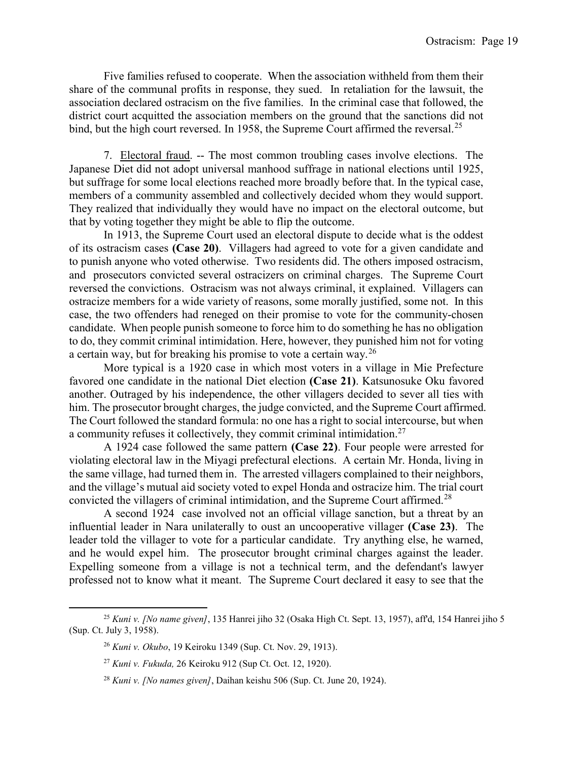Five families refused to cooperate. When the association withheld from them their share of the communal profits in response, they sued. In retaliation for the lawsuit, the association declared ostracism on the five families. In the criminal case that followed, the district court acquitted the association members on the ground that the sanctions did not bind, but the high court reversed. In 1958, the Supreme Court affirmed the reversal.<sup>25</sup>

 7. Electoral fraud. -- The most common troubling cases involve elections. The Japanese Diet did not adopt universal manhood suffrage in national elections until 1925, but suffrage for some local elections reached more broadly before that. In the typical case, members of a community assembled and collectively decided whom they would support. They realized that individually they would have no impact on the electoral outcome, but that by voting together they might be able to flip the outcome.

 In 1913, the Supreme Court used an electoral dispute to decide what is the oddest of its ostracism cases (Case 20). Villagers had agreed to vote for a given candidate and to punish anyone who voted otherwise. Two residents did. The others imposed ostracism, and prosecutors convicted several ostracizers on criminal charges. The Supreme Court reversed the convictions. Ostracism was not always criminal, it explained. Villagers can ostracize members for a wide variety of reasons, some morally justified, some not. In this case, the two offenders had reneged on their promise to vote for the community-chosen candidate. When people punish someone to force him to do something he has no obligation to do, they commit criminal intimidation. Here, however, they punished him not for voting a certain way, but for breaking his promise to vote a certain way.<sup>26</sup>

 More typical is a 1920 case in which most voters in a village in Mie Prefecture favored one candidate in the national Diet election (Case 21). Katsunosuke Oku favored another. Outraged by his independence, the other villagers decided to sever all ties with him. The prosecutor brought charges, the judge convicted, and the Supreme Court affirmed. The Court followed the standard formula: no one has a right to social intercourse, but when a community refuses it collectively, they commit criminal intimidation.<sup>27</sup>

 A 1924 case followed the same pattern (Case 22). Four people were arrested for violating electoral law in the Miyagi prefectural elections. A certain Mr. Honda, living in the same village, had turned them in. The arrested villagers complained to their neighbors, and the village's mutual aid society voted to expel Honda and ostracize him. The trial court convicted the villagers of criminal intimidation, and the Supreme Court affirmed.<sup>28</sup>

 A second 1924 case involved not an official village sanction, but a threat by an influential leader in Nara unilaterally to oust an uncooperative villager (Case 23). The leader told the villager to vote for a particular candidate. Try anything else, he warned, and he would expel him. The prosecutor brought criminal charges against the leader. Expelling someone from a village is not a technical term, and the defendant's lawyer professed not to know what it meant. The Supreme Court declared it easy to see that the

<sup>&</sup>lt;sup>25</sup> Kuni v. [No name given], 135 Hanrei jiho 32 (Osaka High Ct. Sept. 13, 1957), aff'd, 154 Hanrei jiho 5 (Sup. Ct. July 3, 1958).

<sup>26</sup> Kuni v. Okubo, 19 Keiroku 1349 (Sup. Ct. Nov. 29, 1913).

 $27$  Kuni v. Fukuda, 26 Keiroku 912 (Sup Ct. Oct. 12, 1920).

 $28$  Kuni v. [No names given], Daihan keishu 506 (Sup. Ct. June 20, 1924).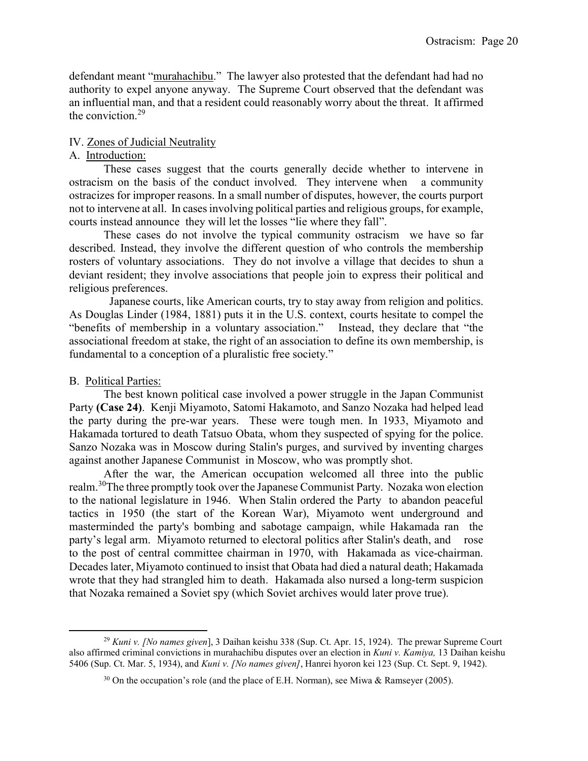defendant meant "murahachibu." The lawyer also protested that the defendant had had no authority to expel anyone anyway. The Supreme Court observed that the defendant was an influential man, and that a resident could reasonably worry about the threat. It affirmed the conviction.<sup>29</sup>

# IV. Zones of Judicial Neutrality

## A. Introduction:

 These cases suggest that the courts generally decide whether to intervene in ostracism on the basis of the conduct involved. They intervene when a community ostracizes for improper reasons. In a small number of disputes, however, the courts purport not to intervene at all. In cases involving political parties and religious groups, for example, courts instead announce they will let the losses "lie where they fall".

 These cases do not involve the typical community ostracism we have so far described. Instead, they involve the different question of who controls the membership rosters of voluntary associations. They do not involve a village that decides to shun a deviant resident; they involve associations that people join to express their political and religious preferences.

 Japanese courts, like American courts, try to stay away from religion and politics. As Douglas Linder (1984, 1881) puts it in the U.S. context, courts hesitate to compel the "benefits of membership in a voluntary association." Instead, they declare that "the associational freedom at stake, the right of an association to define its own membership, is fundamental to a conception of a pluralistic free society."

### B. Political Parties:

l

 The best known political case involved a power struggle in the Japan Communist Party (Case 24). Kenji Miyamoto, Satomi Hakamoto, and Sanzo Nozaka had helped lead the party during the pre-war years. These were tough men. In 1933, Miyamoto and Hakamada tortured to death Tatsuo Obata, whom they suspected of spying for the police. Sanzo Nozaka was in Moscow during Stalin's purges, and survived by inventing charges against another Japanese Communist in Moscow, who was promptly shot.

 After the war, the American occupation welcomed all three into the public realm.<sup>30</sup>The three promptly took over the Japanese Communist Party. Nozaka won election to the national legislature in 1946. When Stalin ordered the Party to abandon peaceful tactics in 1950 (the start of the Korean War), Miyamoto went underground and masterminded the party's bombing and sabotage campaign, while Hakamada ran the party's legal arm. Miyamoto returned to electoral politics after Stalin's death, and rose to the post of central committee chairman in 1970, with Hakamada as vice-chairman. Decades later, Miyamoto continued to insist that Obata had died a natural death; Hakamada wrote that they had strangled him to death. Hakamada also nursed a long-term suspicion that Nozaka remained a Soviet spy (which Soviet archives would later prove true).

<sup>&</sup>lt;sup>29</sup> Kuni v. *[No names given*], 3 Daihan keishu 338 (Sup. Ct. Apr. 15, 1924). The prewar Supreme Court also affirmed criminal convictions in murahachibu disputes over an election in Kuni v. Kamiya, 13 Daihan keishu 5406 (Sup. Ct. Mar. 5, 1934), and Kuni v. [No names given], Hanrei hyoron kei 123 (Sup. Ct. Sept. 9, 1942).

 $30$  On the occupation's role (and the place of E.H. Norman), see Miwa & Ramseyer (2005).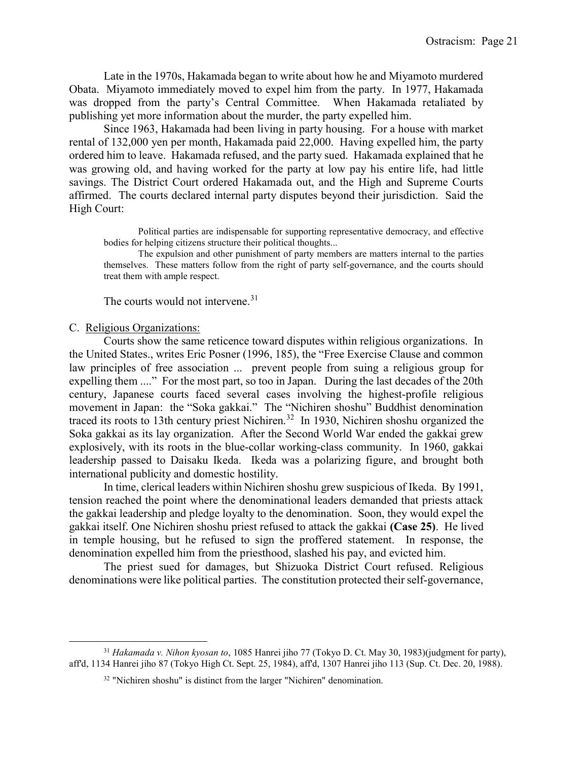Late in the 1970s, Hakamada began to write about how he and Miyamoto murdered Obata. Miyamoto immediately moved to expel him from the party. In 1977, Hakamada was dropped from the party's Central Committee. When Hakamada retaliated by publishing yet more information about the murder, the party expelled him.

 Since 1963, Hakamada had been living in party housing. For a house with market rental of 132,000 yen per month, Hakamada paid 22,000. Having expelled him, the party ordered him to leave. Hakamada refused, and the party sued. Hakamada explained that he was growing old, and having worked for the party at low pay his entire life, had little savings. The District Court ordered Hakamada out, and the High and Supreme Courts affirmed. The courts declared internal party disputes beyond their jurisdiction. Said the High Court:

 Political parties are indispensable for supporting representative democracy, and effective bodies for helping citizens structure their political thoughts...

 The expulsion and other punishment of party members are matters internal to the parties themselves. These matters follow from the right of party self-governance, and the courts should treat them with ample respect.

The courts would not intervene.<sup>31</sup>

#### C. Religious Organizations:

l

 Courts show the same reticence toward disputes within religious organizations. In the United States., writes Eric Posner (1996, 185), the "Free Exercise Clause and common law principles of free association ... prevent people from suing a religious group for expelling them ...." For the most part, so too in Japan. During the last decades of the 20th century, Japanese courts faced several cases involving the highest-profile religious movement in Japan: the "Soka gakkai." The "Nichiren shoshu" Buddhist denomination traced its roots to 13th century priest Nichiren.<sup>32</sup> In 1930, Nichiren shoshu organized the Soka gakkai as its lay organization. After the Second World War ended the gakkai grew explosively, with its roots in the blue-collar working-class community. In 1960, gakkai leadership passed to Daisaku Ikeda. Ikeda was a polarizing figure, and brought both international publicity and domestic hostility.

 In time, clerical leaders within Nichiren shoshu grew suspicious of Ikeda. By 1991, tension reached the point where the denominational leaders demanded that priests attack the gakkai leadership and pledge loyalty to the denomination. Soon, they would expel the gakkai itself. One Nichiren shoshu priest refused to attack the gakkai (Case 25). He lived in temple housing, but he refused to sign the proffered statement. In response, the denomination expelled him from the priesthood, slashed his pay, and evicted him.

 The priest sued for damages, but Shizuoka District Court refused. Religious denominations were like political parties. The constitution protected their self-governance,

 $31$  Hakamada v. Nihon kyosan to, 1085 Hanrei jiho 77 (Tokyo D. Ct. May 30, 1983)(judgment for party), aff'd, 1134 Hanrei jiho 87 (Tokyo High Ct. Sept. 25, 1984), aff'd, 1307 Hanrei jiho 113 (Sup. Ct. Dec. 20, 1988).

 $32$  "Nichiren shoshu" is distinct from the larger "Nichiren" denomination.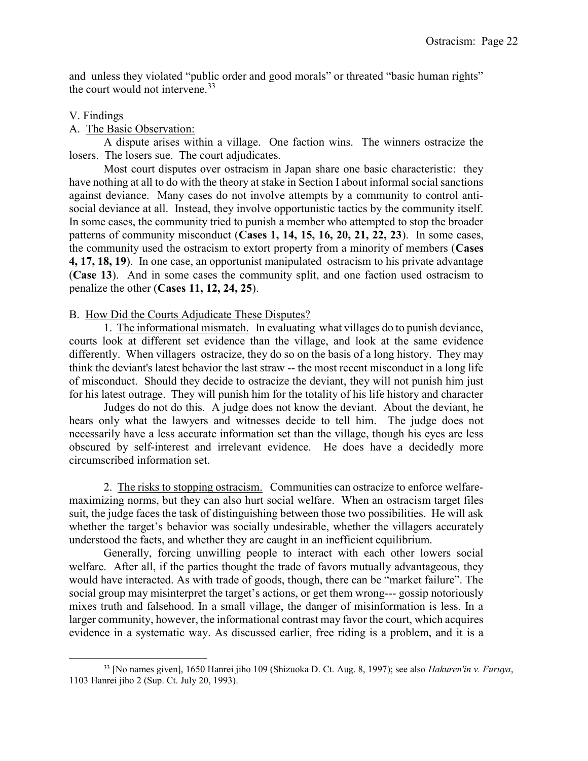and unless they violated "public order and good morals" or threated "basic human rights" the court would not intervene.<sup>33</sup>

## V. Findings

l

## A. The Basic Observation:

 A dispute arises within a village. One faction wins. The winners ostracize the losers. The losers sue. The court adjudicates.

 Most court disputes over ostracism in Japan share one basic characteristic: they have nothing at all to do with the theory at stake in Section I about informal social sanctions against deviance. Many cases do not involve attempts by a community to control antisocial deviance at all. Instead, they involve opportunistic tactics by the community itself. In some cases, the community tried to punish a member who attempted to stop the broader patterns of community misconduct (Cases 1, 14, 15, 16, 20, 21, 22, 23). In some cases, the community used the ostracism to extort property from a minority of members (Cases 4, 17, 18, 19). In one case, an opportunist manipulated ostracism to his private advantage (Case 13). And in some cases the community split, and one faction used ostracism to penalize the other (Cases 11, 12, 24, 25).

## B. How Did the Courts Adjudicate These Disputes?

 1. The informational mismatch. In evaluating what villages do to punish deviance, courts look at different set evidence than the village, and look at the same evidence differently. When villagers ostracize, they do so on the basis of a long history. They may think the deviant's latest behavior the last straw -- the most recent misconduct in a long life of misconduct. Should they decide to ostracize the deviant, they will not punish him just for his latest outrage. They will punish him for the totality of his life history and character

 Judges do not do this. A judge does not know the deviant. About the deviant, he hears only what the lawyers and witnesses decide to tell him. The judge does not necessarily have a less accurate information set than the village, though his eyes are less obscured by self-interest and irrelevant evidence. He does have a decidedly more circumscribed information set.

2. The risks to stopping ostracism. Communities can ostracize to enforce welfaremaximizing norms, but they can also hurt social welfare. When an ostracism target files suit, the judge faces the task of distinguishing between those two possibilities. He will ask whether the target's behavior was socially undesirable, whether the villagers accurately understood the facts, and whether they are caught in an inefficient equilibrium.

 Generally, forcing unwilling people to interact with each other lowers social welfare. After all, if the parties thought the trade of favors mutually advantageous, they would have interacted. As with trade of goods, though, there can be "market failure". The social group may misinterpret the target's actions, or get them wrong--- gossip notoriously mixes truth and falsehood. In a small village, the danger of misinformation is less. In a larger community, however, the informational contrast may favor the court, which acquires evidence in a systematic way. As discussed earlier, free riding is a problem, and it is a

 $33$  [No names given], 1650 Hanrei jiho 109 (Shizuoka D. Ct. Aug. 8, 1997); see also *Hakuren'in v. Furuya*, 1103 Hanrei jiho 2 (Sup. Ct. July 20, 1993).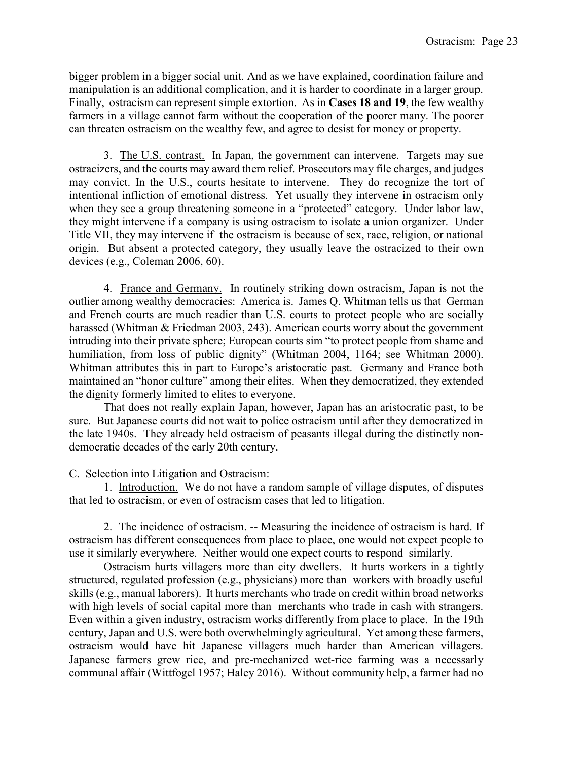bigger problem in a bigger social unit. And as we have explained, coordination failure and manipulation is an additional complication, and it is harder to coordinate in a larger group. Finally, ostracism can represent simple extortion. As in Cases 18 and 19, the few wealthy farmers in a village cannot farm without the cooperation of the poorer many. The poorer can threaten ostracism on the wealthy few, and agree to desist for money or property.

 3. The U.S. contrast. In Japan, the government can intervene. Targets may sue ostracizers, and the courts may award them relief. Prosecutors may file charges, and judges may convict. In the U.S., courts hesitate to intervene. They do recognize the tort of intentional infliction of emotional distress. Yet usually they intervene in ostracism only when they see a group threatening someone in a "protected" category. Under labor law, they might intervene if a company is using ostracism to isolate a union organizer. Under Title VII, they may intervene if the ostracism is because of sex, race, religion, or national origin. But absent a protected category, they usually leave the ostracized to their own devices (e.g., Coleman 2006, 60).

 4. France and Germany. In routinely striking down ostracism, Japan is not the outlier among wealthy democracies: America is. James Q. Whitman tells us that German and French courts are much readier than U.S. courts to protect people who are socially harassed (Whitman & Friedman 2003, 243). American courts worry about the government intruding into their private sphere; European courts sim "to protect people from shame and humiliation, from loss of public dignity" (Whitman 2004, 1164; see Whitman 2000). Whitman attributes this in part to Europe's aristocratic past. Germany and France both maintained an "honor culture" among their elites. When they democratized, they extended the dignity formerly limited to elites to everyone.

 That does not really explain Japan, however, Japan has an aristocratic past, to be sure. But Japanese courts did not wait to police ostracism until after they democratized in the late 1940s. They already held ostracism of peasants illegal during the distinctly nondemocratic decades of the early 20th century.

### C. Selection into Litigation and Ostracism:

 1. Introduction. We do not have a random sample of village disputes, of disputes that led to ostracism, or even of ostracism cases that led to litigation.

2. The incidence of ostracism. -- Measuring the incidence of ostracism is hard. If ostracism has different consequences from place to place, one would not expect people to use it similarly everywhere. Neither would one expect courts to respond similarly.

 Ostracism hurts villagers more than city dwellers. It hurts workers in a tightly structured, regulated profession (e.g., physicians) more than workers with broadly useful skills (e.g., manual laborers). It hurts merchants who trade on credit within broad networks with high levels of social capital more than merchants who trade in cash with strangers. Even within a given industry, ostracism works differently from place to place. In the 19th century, Japan and U.S. were both overwhelmingly agricultural. Yet among these farmers, ostracism would have hit Japanese villagers much harder than American villagers. Japanese farmers grew rice, and pre-mechanized wet-rice farming was a necessarly communal affair (Wittfogel 1957; Haley 2016). Without community help, a farmer had no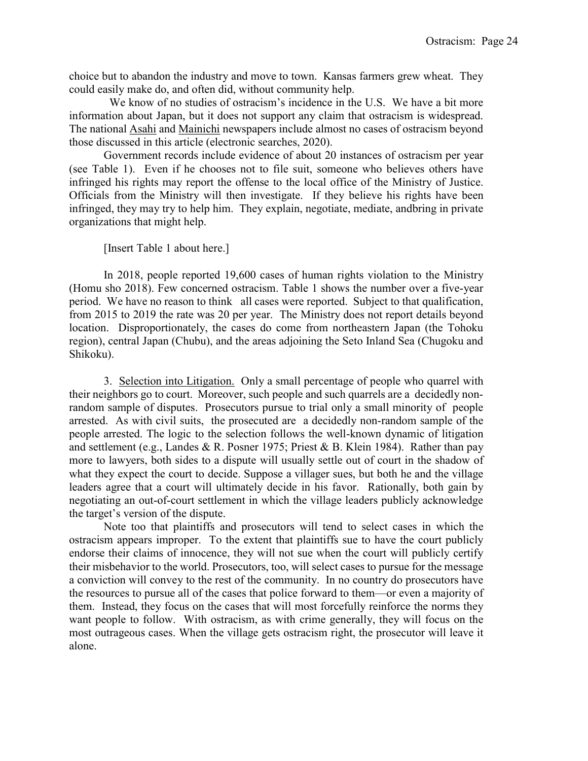choice but to abandon the industry and move to town. Kansas farmers grew wheat. They could easily make do, and often did, without community help.

 We know of no studies of ostracism's incidence in the U.S. We have a bit more information about Japan, but it does not support any claim that ostracism is widespread. The national Asahi and Mainichi newspapers include almost no cases of ostracism beyond those discussed in this article (electronic searches, 2020).

 Government records include evidence of about 20 instances of ostracism per year (see Table 1). Even if he chooses not to file suit, someone who believes others have infringed his rights may report the offense to the local office of the Ministry of Justice. Officials from the Ministry will then investigate. If they believe his rights have been infringed, they may try to help him. They explain, negotiate, mediate, andbring in private organizations that might help.

[Insert Table 1 about here.]

 In 2018, people reported 19,600 cases of human rights violation to the Ministry (Homu sho 2018). Few concerned ostracism. Table 1 shows the number over a five-year period. We have no reason to think all cases were reported. Subject to that qualification, from 2015 to 2019 the rate was 20 per year. The Ministry does not report details beyond location. Disproportionately, the cases do come from northeastern Japan (the Tohoku region), central Japan (Chubu), and the areas adjoining the Seto Inland Sea (Chugoku and Shikoku).

 3. Selection into Litigation. Only a small percentage of people who quarrel with their neighbors go to court. Moreover, such people and such quarrels are a decidedly nonrandom sample of disputes. Prosecutors pursue to trial only a small minority of people arrested. As with civil suits, the prosecuted are a decidedly non-random sample of the people arrested. The logic to the selection follows the well-known dynamic of litigation and settlement (e.g., Landes & R. Posner 1975; Priest & B. Klein 1984). Rather than pay more to lawyers, both sides to a dispute will usually settle out of court in the shadow of what they expect the court to decide. Suppose a villager sues, but both he and the village leaders agree that a court will ultimately decide in his favor. Rationally, both gain by negotiating an out-of-court settlement in which the village leaders publicly acknowledge the target's version of the dispute.

 Note too that plaintiffs and prosecutors will tend to select cases in which the ostracism appears improper. To the extent that plaintiffs sue to have the court publicly endorse their claims of innocence, they will not sue when the court will publicly certify their misbehavior to the world. Prosecutors, too, will select cases to pursue for the message a conviction will convey to the rest of the community. In no country do prosecutors have the resources to pursue all of the cases that police forward to them—or even a majority of them. Instead, they focus on the cases that will most forcefully reinforce the norms they want people to follow. With ostracism, as with crime generally, they will focus on the most outrageous cases. When the village gets ostracism right, the prosecutor will leave it alone.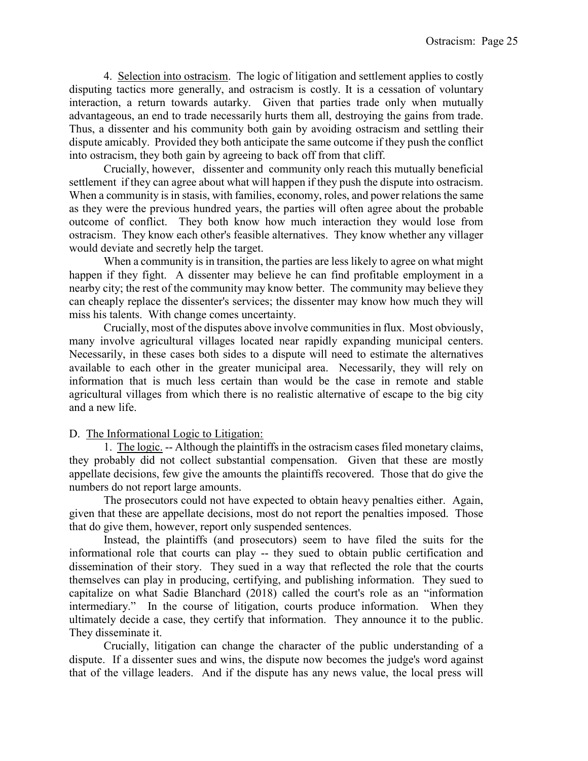4. Selection into ostracism. The logic of litigation and settlement applies to costly disputing tactics more generally, and ostracism is costly. It is a cessation of voluntary interaction, a return towards autarky. Given that parties trade only when mutually advantageous, an end to trade necessarily hurts them all, destroying the gains from trade. Thus, a dissenter and his community both gain by avoiding ostracism and settling their dispute amicably. Provided they both anticipate the same outcome if they push the conflict into ostracism, they both gain by agreeing to back off from that cliff.

 Crucially, however, dissenter and community only reach this mutually beneficial settlement if they can agree about what will happen if they push the dispute into ostracism. When a community is in stasis, with families, economy, roles, and power relations the same as they were the previous hundred years, the parties will often agree about the probable outcome of conflict. They both know how much interaction they would lose from ostracism. They know each other's feasible alternatives. They know whether any villager would deviate and secretly help the target.

 When a community is in transition, the parties are less likely to agree on what might happen if they fight. A dissenter may believe he can find profitable employment in a nearby city; the rest of the community may know better. The community may believe they can cheaply replace the dissenter's services; the dissenter may know how much they will miss his talents. With change comes uncertainty.

 Crucially, most of the disputes above involve communities in flux. Most obviously, many involve agricultural villages located near rapidly expanding municipal centers. Necessarily, in these cases both sides to a dispute will need to estimate the alternatives available to each other in the greater municipal area. Necessarily, they will rely on information that is much less certain than would be the case in remote and stable agricultural villages from which there is no realistic alternative of escape to the big city and a new life.

# D. The Informational Logic to Litigation:

 1. The logic. -- Although the plaintiffs in the ostracism cases filed monetary claims, they probably did not collect substantial compensation. Given that these are mostly appellate decisions, few give the amounts the plaintiffs recovered. Those that do give the numbers do not report large amounts.

 The prosecutors could not have expected to obtain heavy penalties either. Again, given that these are appellate decisions, most do not report the penalties imposed. Those that do give them, however, report only suspended sentences.

 Instead, the plaintiffs (and prosecutors) seem to have filed the suits for the informational role that courts can play -- they sued to obtain public certification and dissemination of their story. They sued in a way that reflected the role that the courts themselves can play in producing, certifying, and publishing information. They sued to capitalize on what Sadie Blanchard (2018) called the court's role as an "information intermediary." In the course of litigation, courts produce information. When they ultimately decide a case, they certify that information. They announce it to the public. They disseminate it.

 Crucially, litigation can change the character of the public understanding of a dispute. If a dissenter sues and wins, the dispute now becomes the judge's word against that of the village leaders. And if the dispute has any news value, the local press will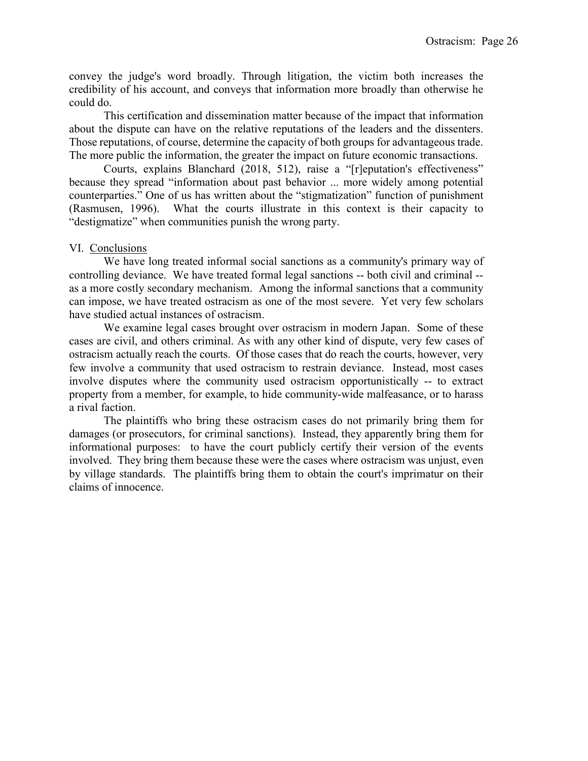convey the judge's word broadly. Through litigation, the victim both increases the credibility of his account, and conveys that information more broadly than otherwise he could do.

 This certification and dissemination matter because of the impact that information about the dispute can have on the relative reputations of the leaders and the dissenters. Those reputations, of course, determine the capacity of both groups for advantageous trade. The more public the information, the greater the impact on future economic transactions.

 Courts, explains Blanchard (2018, 512), raise a "[r]eputation's effectiveness" because they spread "information about past behavior ... more widely among potential counterparties." One of us has written about the "stigmatization" function of punishment (Rasmusen, 1996). What the courts illustrate in this context is their capacity to "destigmatize" when communities punish the wrong party.

### VI. Conclusions

 We have long treated informal social sanctions as a community's primary way of controlling deviance. We have treated formal legal sanctions -- both civil and criminal - as a more costly secondary mechanism. Among the informal sanctions that a community can impose, we have treated ostracism as one of the most severe. Yet very few scholars have studied actual instances of ostracism.

 We examine legal cases brought over ostracism in modern Japan. Some of these cases are civil, and others criminal. As with any other kind of dispute, very few cases of ostracism actually reach the courts. Of those cases that do reach the courts, however, very few involve a community that used ostracism to restrain deviance. Instead, most cases involve disputes where the community used ostracism opportunistically -- to extract property from a member, for example, to hide community-wide malfeasance, or to harass a rival faction.

 The plaintiffs who bring these ostracism cases do not primarily bring them for damages (or prosecutors, for criminal sanctions). Instead, they apparently bring them for informational purposes: to have the court publicly certify their version of the events involved. They bring them because these were the cases where ostracism was unjust, even by village standards. The plaintiffs bring them to obtain the court's imprimatur on their claims of innocence.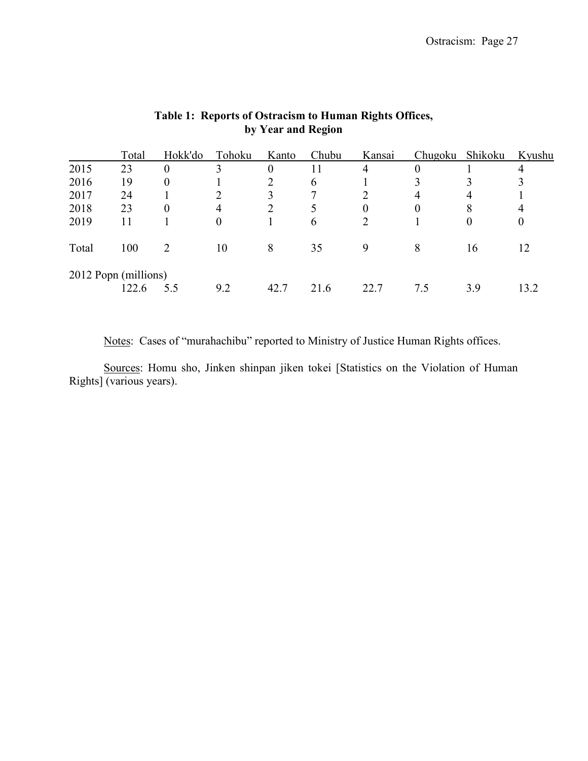|                      | Total | Hokk'do          | Tohoku | Kanto          | Chubu | Kansai | <b>Chugoku</b> | Shikoku | Kyushu |
|----------------------|-------|------------------|--------|----------------|-------|--------|----------------|---------|--------|
| 2015                 | 23    | $\boldsymbol{0}$ | 3      | $\overline{0}$ | 11    | 4      | $\theta$       |         | 4      |
| 2016                 | 19    | $\boldsymbol{0}$ |        |                | 6     |        |                |         |        |
| 2017                 | 24    |                  |        |                | ៗ     |        | 4              | 4       |        |
| 2018                 | 23    | $\theta$         | 4      |                |       | 0      | $\theta$       | 8       | 4      |
| 2019                 | 11    |                  | 0      |                | 6     | ∍      |                | 0       | 0      |
| Total                | 100   | 2                | 10     | 8              | 35    | 9      | 8              | 16      | 12     |
| 2012 Popn (millions) |       |                  |        |                |       |        |                |         |        |
|                      | 122.6 | 5.5              | 9.2    | 42.7           | 21.6  | 22.7   | 7.5            | 3.9     | 13.2   |

# Table 1: Reports of Ostracism to Human Rights Offices, by Year and Region

Notes: Cases of "murahachibu" reported to Ministry of Justice Human Rights offices.

 Sources: Homu sho, Jinken shinpan jiken tokei [Statistics on the Violation of Human Rights] (various years).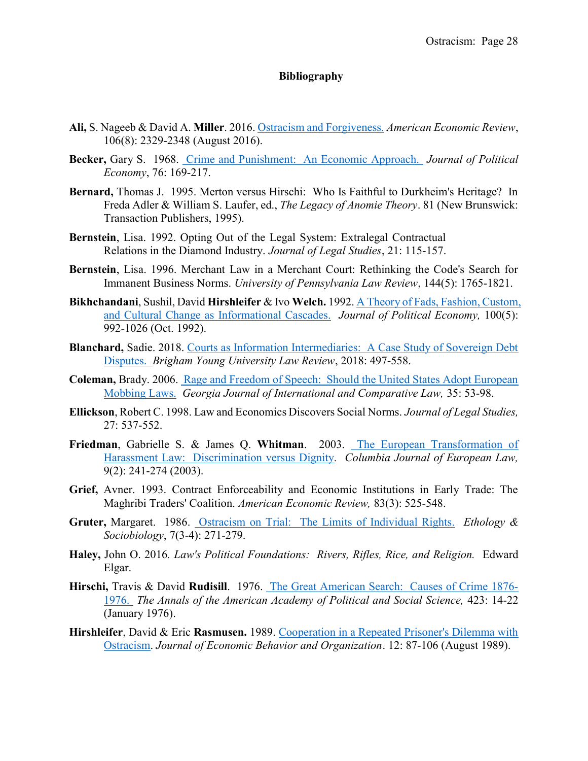## Bibliography

- Ali, S. Nageeb & David A. Miller. 2016. Ostracism and Forgiveness. American Economic Review, 106(8): 2329-2348 (August 2016).
- Becker, Gary S. 1968. Crime and Punishment: An Economic Approach. Journal of Political Economy, 76: 169-217.
- Bernard, Thomas J. 1995. Merton versus Hirschi: Who Is Faithful to Durkheim's Heritage? In Freda Adler & William S. Laufer, ed., *The Legacy of Anomie Theory*. 81 (New Brunswick: Transaction Publishers, 1995).
- Bernstein, Lisa. 1992. Opting Out of the Legal System: Extralegal Contractual Relations in the Diamond Industry. Journal of Legal Studies, 21: 115-157.
- Bernstein, Lisa. 1996. Merchant Law in a Merchant Court: Rethinking the Code's Search for Immanent Business Norms. University of Pennsylvania Law Review, 144(5): 1765-1821.
- Bikhchandani, Sushil, David Hirshleifer & Ivo Welch. 1992. A Theory of Fads, Fashion, Custom, and Cultural Change as Informational Cascades. Journal of Political Economy, 100(5): 992-1026 (Oct. 1992).
- Blanchard, Sadie. 2018. Courts as Information Intermediaries: A Case Study of Sovereign Debt Disputes. Brigham Young University Law Review, 2018: 497-558.
- Coleman, Brady. 2006. Rage and Freedom of Speech: Should the United States Adopt European Mobbing Laws. Georgia Journal of International and Comparative Law, 35: 53-98.
- Ellickson, Robert C. 1998. Law and Economics Discovers Social Norms. Journal of Legal Studies, 27: 537-552.
- Friedman, Gabrielle S. & James Q. Whitman. 2003. The European Transformation of Harassment Law: Discrimination versus Dignity. Columbia Journal of European Law, 9(2): 241-274 (2003).
- Grief, Avner. 1993. Contract Enforceability and Economic Institutions in Early Trade: The Maghribi Traders' Coalition. American Economic Review, 83(3): 525-548.
- Gruter, Margaret. 1986. Ostracism on Trial: The Limits of Individual Rights. Ethology & Sociobiology, 7(3-4): 271-279.
- Haley, John O. 2016. Law's Political Foundations: Rivers, Rifles, Rice, and Religion. Edward Elgar.
- Hirschi, Travis & David Rudisill. 1976. The Great American Search: Causes of Crime 1876- 1976. The Annals of the American Academy of Political and Social Science, 423: 14-22 (January 1976).
- Hirshleifer, David & Eric Rasmusen. 1989. Cooperation in a Repeated Prisoner's Dilemma with Ostracism. Journal of Economic Behavior and Organization. 12: 87-106 (August 1989).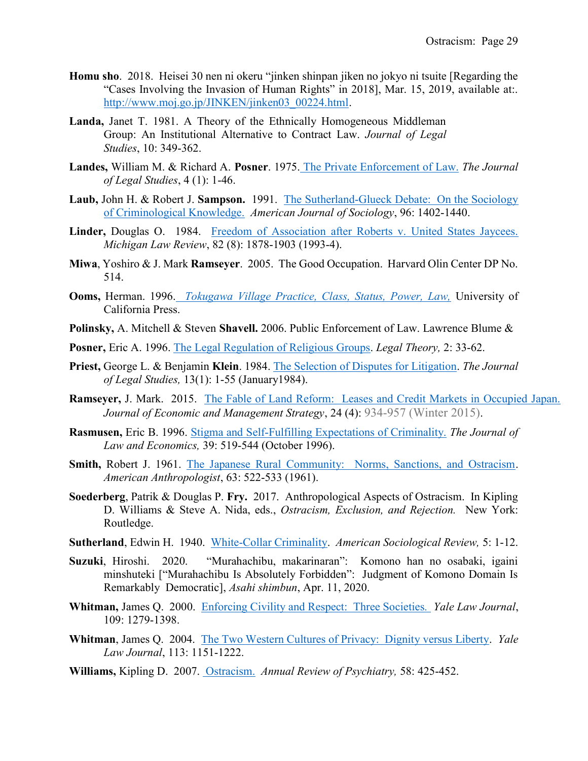- Homu sho. 2018. Heisei 30 nen ni okeru "jinken shinpan jiken no jokyo ni tsuite [Regarding the "Cases Involving the Invasion of Human Rights" in 2018], Mar. 15, 2019, available at:. http://www.moj.go.jp/JINKEN/jinken03\_00224.html.
- Landa, Janet T. 1981. A Theory of the Ethnically Homogeneous Middleman Group: An Institutional Alternative to Contract Law. Journal of Legal Studies, 10: 349-362.
- Landes, William M. & Richard A. Posner. 1975. The Private Enforcement of Law. The Journal of Legal Studies, 4 (1): 1-46.
- Laub, John H. & Robert J. Sampson. 1991. The Sutherland-Glueck Debate: On the Sociology of Criminological Knowledge. American Journal of Sociology, 96: 1402-1440.
- Linder, Douglas O. 1984. Freedom of Association after Roberts v. United States Jaycees. Michigan Law Review, 82 (8): 1878-1903 (1993-4).
- Miwa, Yoshiro & J. Mark Ramseyer. 2005. The Good Occupation. Harvard Olin Center DP No. 514.
- Ooms, Herman. 1996. Tokugawa Village Practice, Class, Status, Power, Law, University of California Press.
- Polinsky, A. Mitchell & Steven Shavell. 2006. Public Enforcement of Law. Lawrence Blume &
- Posner, Eric A. 1996. The Legal Regulation of Religious Groups. Legal Theory, 2: 33-62.
- Priest, George L. & Benjamin Klein. 1984. The Selection of Disputes for Litigation. The Journal of Legal Studies, 13(1): 1-55 (January1984).
- Ramseyer, J. Mark. 2015. The Fable of Land Reform: Leases and Credit Markets in Occupied Japan. Journal of Economic and Management Strategy, 24 (4): 934-957 (Winter 2015).
- Rasmusen, Eric B. 1996. Stigma and Self-Fulfilling Expectations of Criminality. The Journal of Law and Economics, 39: 519-544 (October 1996).
- Smith, Robert J. 1961. The Japanese Rural Community: Norms, Sanctions, and Ostracism. American Anthropologist, 63: 522-533 (1961).
- Soederberg, Patrik & Douglas P. Fry. 2017. Anthropological Aspects of Ostracism. In Kipling D. Williams & Steve A. Nida, eds., Ostracism, Exclusion, and Rejection. New York: Routledge.
- Sutherland, Edwin H. 1940. White-Collar Criminality. American Sociological Review, 5: 1-12.
- Suzuki, Hiroshi. 2020. "Murahachibu, makarinaran": Komono han no osabaki, igaini minshuteki ["Murahachibu Is Absolutely Forbidden": Judgment of Komono Domain Is Remarkably Democratic], Asahi shimbun, Apr. 11, 2020.
- Whitman, James Q. 2000. Enforcing Civility and Respect: Three Societies. Yale Law Journal, 109: 1279-1398.
- Whitman, James Q. 2004. The Two Western Cultures of Privacy: Dignity versus Liberty. Yale Law Journal, 113: 1151-1222.
- Williams, Kipling D. 2007. Ostracism. Annual Review of Psychiatry, 58: 425-452.